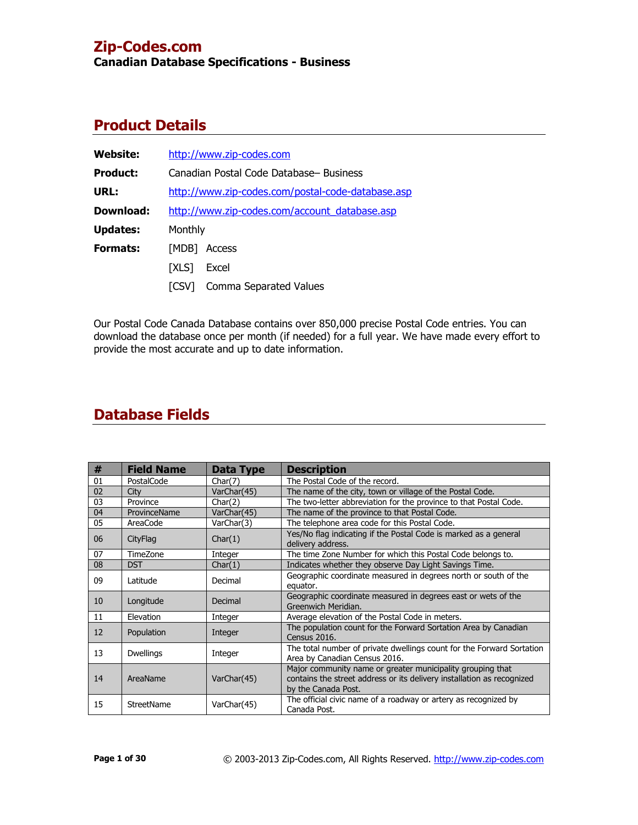**Canadian Database Specifications - Business**

# **Product Details**

| <b>Website:</b> |              | http://www.zip-codes.com                          |  |  |  |
|-----------------|--------------|---------------------------------------------------|--|--|--|
| <b>Product:</b> |              | Canadian Postal Code Database- Business           |  |  |  |
| URL:            |              | http://www.zip-codes.com/postal-code-database.asp |  |  |  |
| Download:       |              | http://www.zip-codes.com/account database.asp     |  |  |  |
| <b>Updates:</b> |              | Monthly                                           |  |  |  |
| <b>Formats:</b> | [MDB]        | Access                                            |  |  |  |
|                 | <b>TXLS1</b> | Excel                                             |  |  |  |
|                 | <b>TCSV1</b> | Comma Separated Values                            |  |  |  |

Our Postal Code Canada Database contains over 850,000 precise Postal Code entries. You can download the database once per month (if needed) for a full year. We have made every effort to provide the most accurate and up to date information.

| #  | <b>Field Name</b> | Data Type   | <b>Description</b>                                                                                                                                          |
|----|-------------------|-------------|-------------------------------------------------------------------------------------------------------------------------------------------------------------|
| 01 | PostalCode        | Char(7)     | The Postal Code of the record.                                                                                                                              |
| 02 | City              | VarChar(45) | The name of the city, town or village of the Postal Code.                                                                                                   |
| 03 | Province          | Char(2)     | The two-letter abbreviation for the province to that Postal Code.                                                                                           |
| 04 | ProvinceName      | VarChar(45) | The name of the province to that Postal Code.                                                                                                               |
| 05 | AreaCode          | VarChar(3)  | The telephone area code for this Postal Code.                                                                                                               |
| 06 | <b>CityFlag</b>   | Char(1)     | Yes/No flag indicating if the Postal Code is marked as a general<br>delivery address.                                                                       |
| 07 | Time7one          | Integer     | The time Zone Number for which this Postal Code belongs to.                                                                                                 |
| 08 | <b>DST</b>        | Char(1)     | Indicates whether they observe Day Light Savings Time.                                                                                                      |
| 09 | Latitude          | Decimal     | Geographic coordinate measured in degrees north or south of the<br>equator.                                                                                 |
| 10 | Longitude         | Decimal     | Geographic coordinate measured in degrees east or wets of the<br>Greenwich Meridian.                                                                        |
| 11 | Elevation         | Integer     | Average elevation of the Postal Code in meters.                                                                                                             |
| 12 | Population        | Integer     | The population count for the Forward Sortation Area by Canadian<br><b>Census 2016.</b>                                                                      |
| 13 | <b>Dwellings</b>  | Integer     | The total number of private dwellings count for the Forward Sortation<br>Area by Canadian Census 2016.                                                      |
| 14 | AreaName          | VarChar(45) | Major community name or greater municipality grouping that<br>contains the street address or its delivery installation as recognized<br>by the Canada Post. |
| 15 | StreetName        | VarChar(45) | The official civic name of a roadway or artery as recognized by<br>Canada Post.                                                                             |

# **Database Fields**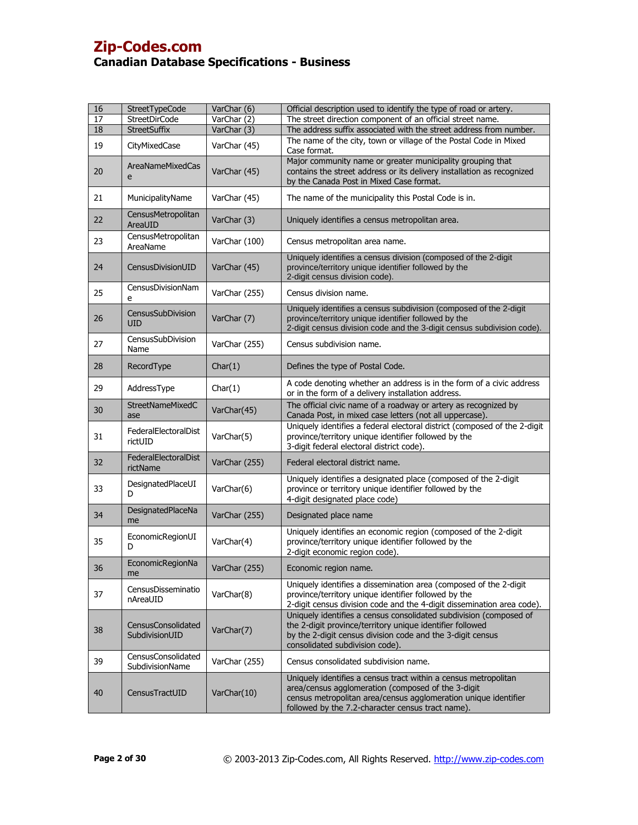| 16 | StreetTypeCode                              | VarChar (6)   | Official description used to identify the type of road or artery.                                                                                                                                                                             |
|----|---------------------------------------------|---------------|-----------------------------------------------------------------------------------------------------------------------------------------------------------------------------------------------------------------------------------------------|
| 17 | <b>StreetDirCode</b>                        | VarChar (2)   | The street direction component of an official street name.                                                                                                                                                                                    |
| 18 | StreetSuffix                                | VarChar (3)   | The address suffix associated with the street address from number.                                                                                                                                                                            |
| 19 | CityMixedCase                               | VarChar (45)  | The name of the city, town or village of the Postal Code in Mixed<br>Case format.                                                                                                                                                             |
| 20 | <b>AreaNameMixedCas</b><br>e                | VarChar (45)  | Major community name or greater municipality grouping that<br>contains the street address or its delivery installation as recognized<br>by the Canada Post in Mixed Case format.                                                              |
| 21 | MunicipalityName                            | VarChar (45)  | The name of the municipality this Postal Code is in.                                                                                                                                                                                          |
| 22 | CensusMetropolitan<br>AreaUID               | VarChar (3)   | Uniquely identifies a census metropolitan area.                                                                                                                                                                                               |
| 23 | CensusMetropolitan<br>AreaName              | VarChar (100) | Census metropolitan area name.                                                                                                                                                                                                                |
| 24 | CensusDivisionUID                           | VarChar (45)  | Uniquely identifies a census division (composed of the 2-digit<br>province/territory unique identifier followed by the<br>2-digit census division code)                                                                                       |
| 25 | CensusDivisionNam<br>e                      | VarChar (255) | Census division name.                                                                                                                                                                                                                         |
| 26 | CensusSubDivision<br>UID                    | VarChar (7)   | Uniquely identifies a census subdivision (composed of the 2-digit<br>province/territory unique identifier followed by the<br>2-digit census division code and the 3-digit census subdivision code).                                           |
| 27 | CensusSubDivision<br>Name                   | VarChar (255) | Census subdivision name.                                                                                                                                                                                                                      |
| 28 | RecordType                                  | Char(1)       | Defines the type of Postal Code.                                                                                                                                                                                                              |
| 29 | AddressType                                 | Char(1)       | A code denoting whether an address is in the form of a civic address<br>or in the form of a delivery installation address.                                                                                                                    |
| 30 | <b>StreetNameMixedC</b><br>ase              | VarChar(45)   | The official civic name of a roadway or artery as recognized by<br>Canada Post, in mixed case letters (not all uppercase).                                                                                                                    |
| 31 | FederalElectoralDist<br>rictUID             | VarChar(5)    | Uniquely identifies a federal electoral district (composed of the 2-digit<br>province/territory unique identifier followed by the<br>3-digit federal electoral district code).                                                                |
| 32 | FederalElectoralDist<br>rictName            | VarChar (255) | Federal electoral district name.                                                                                                                                                                                                              |
| 33 | DesignatedPlaceUI<br>D                      | VarChar(6)    | Uniquely identifies a designated place (composed of the 2-digit<br>province or territory unique identifier followed by the<br>4-digit designated place code)                                                                                  |
| 34 | DesignatedPlaceNa<br>me                     | VarChar (255) | Designated place name                                                                                                                                                                                                                         |
| 35 | EconomicRegionUI<br>D                       | VarChar(4)    | Uniquely identifies an economic region (composed of the 2-digit<br>province/territory unique identifier followed by the<br>2-digit economic region code).                                                                                     |
| 36 | <b>EconomicRegionNa</b><br>me               | VarChar (255) | Economic region name.                                                                                                                                                                                                                         |
| 37 | CensusDisseminatio<br>nAreaUID              | VarChar(8)    | Uniquely identifies a dissemination area (composed of the 2-digit<br>province/territory unique identifier followed by the<br>2-digit census division code and the 4-digit dissemination area code).                                           |
| 38 | <b>CensusConsolidated</b><br>SubdivisionUID | VarChar(7)    | Uniquely identifies a census consolidated subdivision (composed of<br>the 2-digit province/territory unique identifier followed<br>by the 2-digit census division code and the 3-digit census<br>consolidated subdivision code).              |
| 39 | CensusConsolidated<br>SubdivisionName       | VarChar (255) | Census consolidated subdivision name.                                                                                                                                                                                                         |
| 40 | CensusTractUID                              | VarChar(10)   | Uniquely identifies a census tract within a census metropolitan<br>area/census agglomeration (composed of the 3-digit<br>census metropolitan area/census agglomeration unique identifier<br>followed by the 7.2-character census tract name). |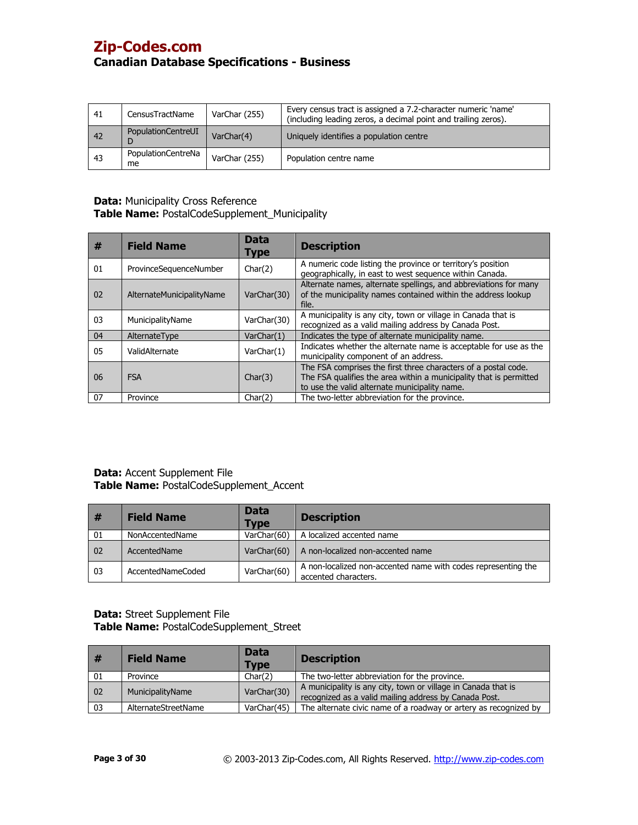| 41 | CensusTractName          | VarChar (255) | Every census tract is assigned a 7.2-character numeric 'name'<br>(including leading zeros, a decimal point and trailing zeros). |
|----|--------------------------|---------------|---------------------------------------------------------------------------------------------------------------------------------|
| 42 | PopulationCentreUI       | VarChar(4)    | Uniquely identifies a population centre                                                                                         |
| 43 | PopulationCentreNa<br>me | VarChar (255) | Population centre name                                                                                                          |

## **Data:** Municipality Cross Reference **Table Name:** PostalCodeSupplement\_Municipality

| #  | <b>Field Name</b>         | <b>Data</b><br>Type | <b>Description</b>                                                                                                                                                                    |
|----|---------------------------|---------------------|---------------------------------------------------------------------------------------------------------------------------------------------------------------------------------------|
| 01 | ProvinceSequenceNumber    | Char(2)             | A numeric code listing the province or territory's position<br>geographically, in east to west sequence within Canada.                                                                |
| 02 | AlternateMunicipalityName | VarChar(30)         | Alternate names, alternate spellings, and abbreviations for many<br>of the municipality names contained within the address lookup<br>file.                                            |
| 03 | MunicipalityName          | VarChar(30)         | A municipality is any city, town or village in Canada that is<br>recognized as a valid mailing address by Canada Post.                                                                |
| 04 | AlternateType             | VarChar(1)          | Indicates the type of alternate municipality name.                                                                                                                                    |
| 05 | ValidAlternate            | VarChar(1)          | Indicates whether the alternate name is acceptable for use as the<br>municipality component of an address.                                                                            |
| 06 | <b>FSA</b>                | Char(3)             | The FSA comprises the first three characters of a postal code.<br>The FSA qualifies the area within a municipality that is permitted<br>to use the valid alternate municipality name. |
| 07 | Province                  | Char(2)             | The two-letter abbreviation for the province.                                                                                                                                         |

# **Data:** Accent Supplement File **Table Name:** PostalCodeSupplement\_Accent

| #  | <b>Field Name</b> | <b>Data</b><br><b>Type</b> | <b>Description</b>                                                                    |
|----|-------------------|----------------------------|---------------------------------------------------------------------------------------|
| 01 | NonAccentedName   | VarChar(60)                | A localized accented name                                                             |
| 02 | AccentedName      | VarChar(60)                | A non-localized non-accented name                                                     |
| 03 | AccentedNameCoded | VarChar(60)                | A non-localized non-accented name with codes representing the<br>accented characters. |

## **Data:** Street Supplement File **Table Name:** PostalCodeSupplement\_Street

| #  | <b>Field Name</b>   | <b>Data</b><br>Type | <b>Description</b>                                                                                                     |
|----|---------------------|---------------------|------------------------------------------------------------------------------------------------------------------------|
| 01 | Province            | Char(2)             | The two-letter abbreviation for the province.                                                                          |
| 02 | MunicipalityName    | VarChar(30)         | A municipality is any city, town or village in Canada that is<br>recognized as a valid mailing address by Canada Post. |
| 03 | AlternateStreetName | VarChar(45)         | The alternate civic name of a roadway or artery as recognized by                                                       |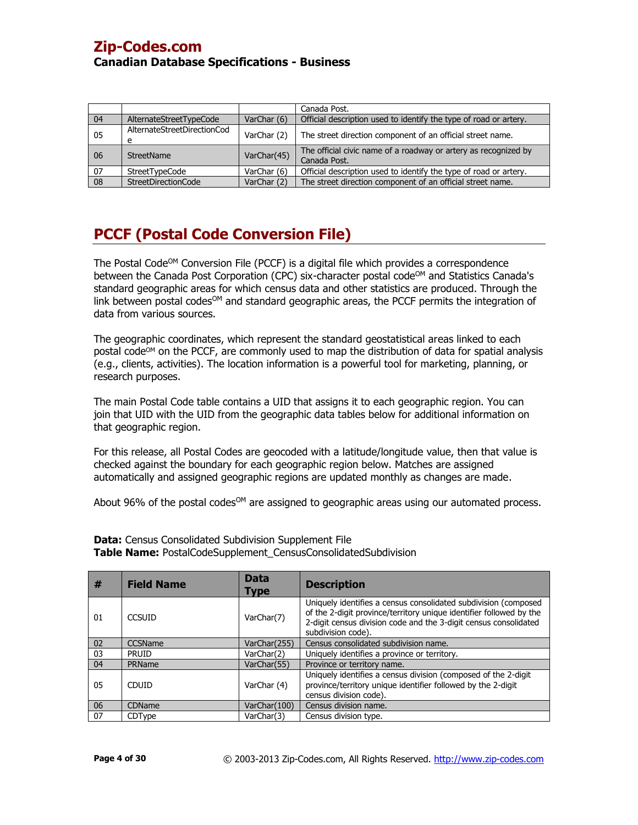|    |                                  |             | Canada Post.                                                                    |
|----|----------------------------------|-------------|---------------------------------------------------------------------------------|
| 04 | AlternateStreetTypeCode          | VarChar (6) | Official description used to identify the type of road or artery.               |
| 05 | AlternateStreetDirectionCod<br>e | VarChar (2) | The street direction component of an official street name.                      |
| 06 | <b>StreetName</b>                | VarChar(45) | The official civic name of a roadway or artery as recognized by<br>Canada Post. |
| 07 | StreetTypeCode                   | VarChar (6) | Official description used to identify the type of road or artery.               |
| 08 | StreetDirectionCode              | VarChar (2) | The street direction component of an official street name.                      |

# **PCCF (Postal Code Conversion File)**

The Postal Code<sup>OM</sup> Conversion File (PCCF) is a digital file which provides a correspondence between the Canada Post Corporation (CPC) six-character postal code<sup>OM</sup> and Statistics Canada's standard geographic areas for which census data and other statistics are produced. Through the link between postal codes<sup>om</sup> and standard geographic areas, the PCCF permits the integration of data from various sources.

The geographic coordinates, which represent the standard geostatistical areas linked to each postal code<sup>om</sup> on the PCCF, are commonly used to map the distribution of data for spatial analysis (e.g., clients, activities). The location information is a powerful tool for marketing, planning, or research purposes.

The main Postal Code table contains a UID that assigns it to each geographic region. You can join that UID with the UID from the geographic data tables below for additional information on that geographic region.

For this release, all Postal Codes are geocoded with a latitude/longitude value, then that value is checked against the boundary for each geographic region below. Matches are assigned automatically and assigned geographic regions are updated monthly as changes are made.

About 96% of the postal codes<sup>OM</sup> are assigned to geographic areas using our automated process.

| #  | <b>Field Name</b> | <b>Data</b><br>Type | <b>Description</b>                                                                                                                                                                                                               |
|----|-------------------|---------------------|----------------------------------------------------------------------------------------------------------------------------------------------------------------------------------------------------------------------------------|
| 01 | <b>CCSUID</b>     | VarChar(7)          | Uniquely identifies a census consolidated subdivision (composed<br>of the 2-digit province/territory unique identifier followed by the<br>2-digit census division code and the 3-digit census consolidated<br>subdivision code). |
| 02 | CCSName           | VarChar(255)        | Census consolidated subdivision name.                                                                                                                                                                                            |
| 03 | <b>PRUID</b>      | VarChar(2)          | Uniquely identifies a province or territory.                                                                                                                                                                                     |
| 04 | PRName            | VarChar(55)         | Province or territory name.                                                                                                                                                                                                      |
| 05 | <b>CDUID</b>      | VarChar (4)         | Uniquely identifies a census division (composed of the 2-digit<br>province/territory unique identifier followed by the 2-digit<br>census division code).                                                                         |
| 06 | CDName            | VarChar(100)        | Census division name.                                                                                                                                                                                                            |
| 07 | CDType            | VarChar(3)          | Census division type.                                                                                                                                                                                                            |

**Data:** Census Consolidated Subdivision Supplement File **Table Name:** PostalCodeSupplement\_CensusConsolidatedSubdivision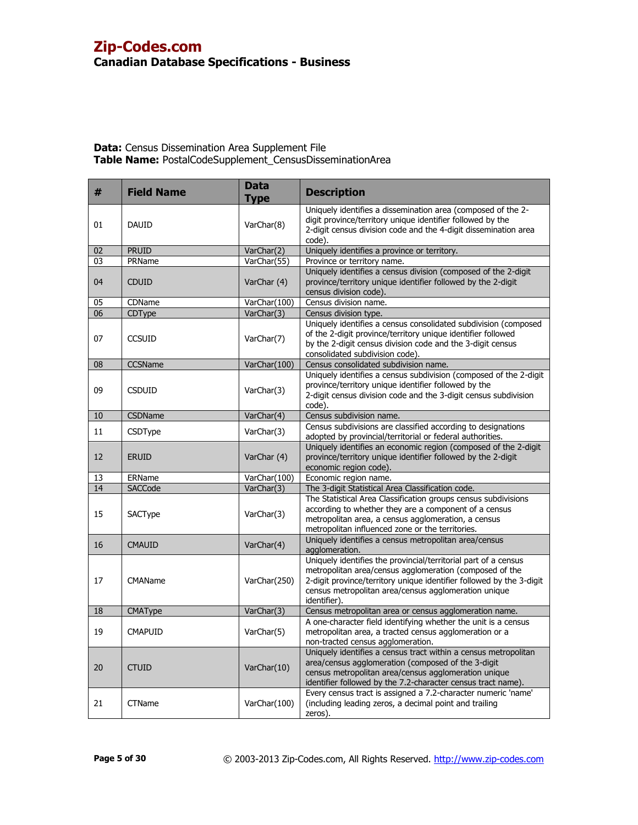| #  | <b>Field Name</b> | <b>Data</b><br><b>Type</b> | <b>Description</b>                                                                                                                                                                                                                                                         |
|----|-------------------|----------------------------|----------------------------------------------------------------------------------------------------------------------------------------------------------------------------------------------------------------------------------------------------------------------------|
| 01 | <b>DAUID</b>      | VarChar(8)                 | Uniquely identifies a dissemination area (composed of the 2-<br>digit province/territory unique identifier followed by the<br>2-digit census division code and the 4-digit dissemination area<br>code).                                                                    |
| 02 | <b>PRUID</b>      | VarChar(2)                 | Uniquely identifies a province or territory.                                                                                                                                                                                                                               |
| 03 | PRName            | VarChar(55)                | Province or territory name.                                                                                                                                                                                                                                                |
| 04 | <b>CDUID</b>      | VarChar (4)                | Uniquely identifies a census division (composed of the 2-digit<br>province/territory unique identifier followed by the 2-digit<br>census division code).                                                                                                                   |
| 05 | CDName            | VarChar(100)               | Census division name.                                                                                                                                                                                                                                                      |
| 06 | CDType            | VarChar(3)                 | Census division type.                                                                                                                                                                                                                                                      |
| 07 | <b>CCSUID</b>     | VarChar(7)                 | Uniquely identifies a census consolidated subdivision (composed<br>of the 2-digit province/territory unique identifier followed<br>by the 2-digit census division code and the 3-digit census<br>consolidated subdivision code).                                           |
| 08 | <b>CCSName</b>    | VarChar(100)               | Census consolidated subdivision name.                                                                                                                                                                                                                                      |
| 09 | <b>CSDUID</b>     | VarChar(3)                 | Uniquely identifies a census subdivision (composed of the 2-digit<br>province/territory unique identifier followed by the<br>2-digit census division code and the 3-digit census subdivision<br>code).                                                                     |
| 10 | CSDName           | VarChar(4)                 | Census subdivision name.                                                                                                                                                                                                                                                   |
| 11 | <b>CSDType</b>    | VarChar(3)                 | Census subdivisions are classified according to designations<br>adopted by provincial/territorial or federal authorities.                                                                                                                                                  |
| 12 | <b>ERUID</b>      | VarChar (4)                | Uniquely identifies an economic region (composed of the 2-digit<br>province/territory unique identifier followed by the 2-digit<br>economic region code).                                                                                                                  |
| 13 | ERName            | VarChar(100)               | Economic region name.                                                                                                                                                                                                                                                      |
| 14 | SACCode           | VarChar(3)                 | The 3-digit Statistical Area Classification code.                                                                                                                                                                                                                          |
| 15 | SACType           | VarChar(3)                 | The Statistical Area Classification groups census subdivisions<br>according to whether they are a component of a census<br>metropolitan area, a census agglomeration, a census<br>metropolitan influenced zone or the territories.                                         |
| 16 | <b>CMAUID</b>     | VarChar(4)                 | Uniquely identifies a census metropolitan area/census<br>agglomeration.                                                                                                                                                                                                    |
| 17 | <b>CMAName</b>    | VarChar(250)               | Uniquely identifies the provincial/territorial part of a census<br>metropolitan area/census agglomeration (composed of the<br>2-digit province/territory unique identifier followed by the 3-digit<br>census metropolitan area/census agglomeration unique<br>identifier). |
| 18 | CMAType           | VarChar(3)                 | Census metropolitan area or census agglomeration name.                                                                                                                                                                                                                     |
| 19 | <b>CMAPUID</b>    | VarChar(5)                 | A one-character field identifying whether the unit is a census<br>metropolitan area, a tracted census agglomeration or a<br>non-tracted census agglomeration.                                                                                                              |
| 20 | <b>CTUID</b>      | VarChar(10)                | Uniquely identifies a census tract within a census metropolitan<br>area/census agglomeration (composed of the 3-digit<br>census metropolitan area/census agglomeration unique<br>identifier followed by the 7.2-character census tract name).                              |
| 21 | <b>CTName</b>     | VarChar(100)               | Every census tract is assigned a 7.2-character numeric 'name'<br>(including leading zeros, a decimal point and trailing<br>zeros).                                                                                                                                         |

# **Data:** Census Dissemination Area Supplement File **Table Name:** PostalCodeSupplement\_CensusDisseminationArea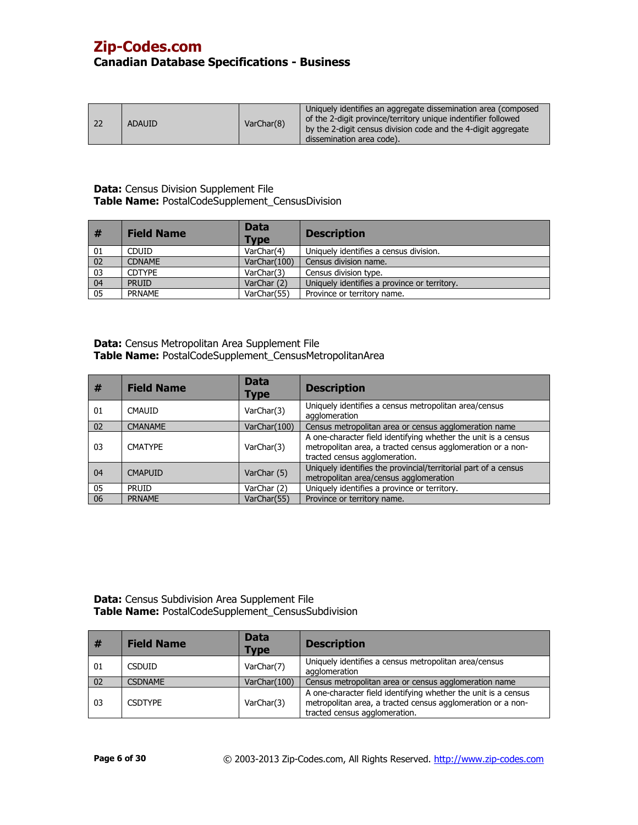| <b>ADAUID</b> | VarChar(8) | Uniquely identifies an aggregate dissemination area (composed<br>of the 2-digit province/territory unique indentifier followed<br>by the 2-digit census division code and the 4-digit aggregate<br>dissemination area code). |
|---------------|------------|------------------------------------------------------------------------------------------------------------------------------------------------------------------------------------------------------------------------------|
|---------------|------------|------------------------------------------------------------------------------------------------------------------------------------------------------------------------------------------------------------------------------|

### **Data:** Census Division Supplement File **Table Name:** PostalCodeSupplement\_CensusDivision

| #  | <b>Field Name</b> | <b>Data</b><br><b>Type</b> | <b>Description</b>                           |
|----|-------------------|----------------------------|----------------------------------------------|
| 01 | <b>CDUID</b>      | VarChar(4)                 | Uniquely identifies a census division.       |
| 02 | <b>CDNAME</b>     | VarChar(100)               | Census division name.                        |
| 03 | <b>CDTYPE</b>     | VarChar(3)                 | Census division type.                        |
| 04 | <b>PRUID</b>      | VarChar (2)                | Uniquely identifies a province or territory. |
| 05 | <b>PRNAME</b>     | VarChar(55)                | Province or territory name.                  |

**Data:** Census Metropolitan Area Supplement File **Table Name:** PostalCodeSupplement\_CensusMetropolitanArea

| #  | <b>Field Name</b> | <b>Data</b><br>Type | <b>Description</b>                                                                                                                                             |
|----|-------------------|---------------------|----------------------------------------------------------------------------------------------------------------------------------------------------------------|
| 01 | <b>CMAUID</b>     | VarChar(3)          | Uniquely identifies a census metropolitan area/census<br>agglomeration                                                                                         |
| 02 | <b>CMANAME</b>    | VarChar(100)        | Census metropolitan area or census agglomeration name                                                                                                          |
| 03 | <b>CMATYPE</b>    | VarChar(3)          | A one-character field identifying whether the unit is a census<br>metropolitan area, a tracted census agglomeration or a non-<br>tracted census agglomeration. |
| 04 | <b>CMAPUID</b>    | VarChar (5)         | Uniquely identifies the provincial/territorial part of a census<br>metropolitan area/census agglomeration                                                      |
| 05 | <b>PRUID</b>      | VarChar (2)         | Uniquely identifies a province or territory.                                                                                                                   |
| 06 | <b>PRNAME</b>     | VarChar(55)         | Province or territory name.                                                                                                                                    |

**Data:** Census Subdivision Area Supplement File **Table Name:** PostalCodeSupplement\_CensusSubdivision

| #  | <b>Field Name</b> | <b>Data</b><br><b>Type</b> | <b>Description</b>                                                                                                                                             |
|----|-------------------|----------------------------|----------------------------------------------------------------------------------------------------------------------------------------------------------------|
| 01 | <b>CSDUID</b>     | VarChar(7)                 | Uniquely identifies a census metropolitan area/census<br>agglomeration                                                                                         |
| 02 | <b>CSDNAMF</b>    | VarChar(100)               | Census metropolitan area or census agglomeration name                                                                                                          |
| 03 | <b>CSDTYPF</b>    | VarChar(3)                 | A one-character field identifying whether the unit is a census<br>metropolitan area, a tracted census agglomeration or a non-<br>tracted census agglomeration. |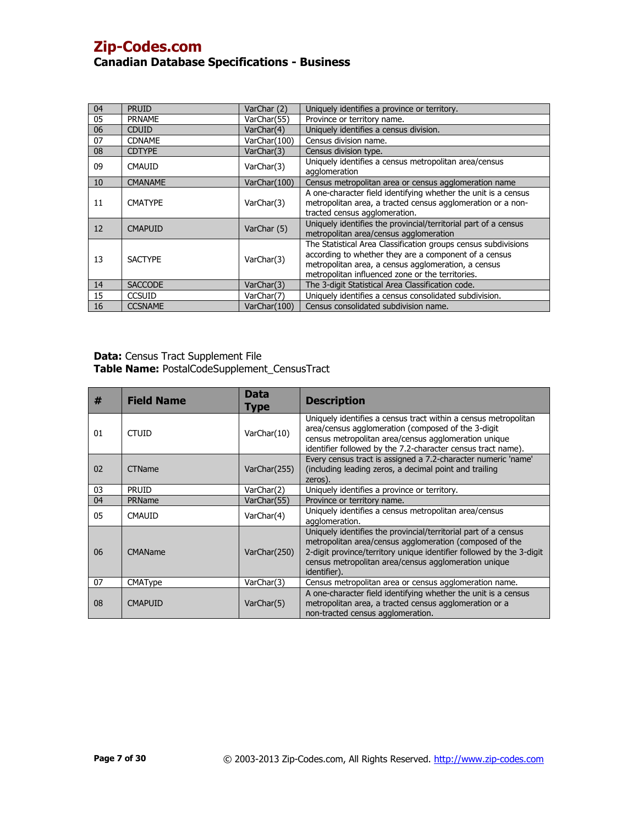| 04 | <b>PRUID</b>   | VarChar (2)  | Uniquely identifies a province or territory.                                                                                                                                                                                       |
|----|----------------|--------------|------------------------------------------------------------------------------------------------------------------------------------------------------------------------------------------------------------------------------------|
| 05 | <b>PRNAME</b>  | VarChar(55)  | Province or territory name.                                                                                                                                                                                                        |
| 06 | <b>CDUID</b>   | VarChar(4)   | Uniquely identifies a census division.                                                                                                                                                                                             |
| 07 | <b>CDNAME</b>  | VarChar(100) | Census division name.                                                                                                                                                                                                              |
| 08 | <b>CDTYPE</b>  | VarChar(3)   | Census division type.                                                                                                                                                                                                              |
| 09 | <b>CMAUID</b>  | VarChar(3)   | Uniquely identifies a census metropolitan area/census<br>agglomeration                                                                                                                                                             |
| 10 | <b>CMANAME</b> | VarChar(100) | Census metropolitan area or census agglomeration name                                                                                                                                                                              |
| 11 | <b>CMATYPE</b> | VarChar(3)   | A one-character field identifying whether the unit is a census<br>metropolitan area, a tracted census agglomeration or a non-<br>tracted census agglomeration.                                                                     |
| 12 | <b>CMAPUID</b> | VarChar (5)  | Uniquely identifies the provincial/territorial part of a census<br>metropolitan area/census agglomeration                                                                                                                          |
| 13 | <b>SACTYPE</b> | VarChar(3)   | The Statistical Area Classification groups census subdivisions<br>according to whether they are a component of a census<br>metropolitan area, a census agglomeration, a census<br>metropolitan influenced zone or the territories. |
| 14 | <b>SACCODE</b> | VarChar(3)   | The 3-digit Statistical Area Classification code.                                                                                                                                                                                  |
| 15 | <b>CCSUID</b>  | VarChar(7)   | Uniquely identifies a census consolidated subdivision.                                                                                                                                                                             |
| 16 | <b>CCSNAME</b> | VarChar(100) | Census consolidated subdivision name.                                                                                                                                                                                              |

#### **Data:** Census Tract Supplement File **Table Name:** PostalCodeSupplement\_CensusTract

| #  | <b>Field Name</b> | <b>Data</b><br><b>Type</b> | <b>Description</b>                                                                                                                                                                                                                                                         |
|----|-------------------|----------------------------|----------------------------------------------------------------------------------------------------------------------------------------------------------------------------------------------------------------------------------------------------------------------------|
| 01 | <b>CTUID</b>      | VarChar(10)                | Uniquely identifies a census tract within a census metropolitan<br>area/census agglomeration (composed of the 3-digit<br>census metropolitan area/census agglomeration unique<br>identifier followed by the 7.2-character census tract name).                              |
| 02 | <b>CTName</b>     | VarChar(255)               | Every census tract is assigned a 7.2-character numeric 'name'<br>(including leading zeros, a decimal point and trailing<br>zeros).                                                                                                                                         |
| 03 | <b>PRUID</b>      | VarChar(2)                 | Uniquely identifies a province or territory.                                                                                                                                                                                                                               |
| 04 | PRName            | VarChar(55)                | Province or territory name.                                                                                                                                                                                                                                                |
| 05 | <b>CMAUID</b>     | VarChar(4)                 | Uniquely identifies a census metropolitan area/census<br>agglomeration.                                                                                                                                                                                                    |
| 06 | <b>CMAName</b>    | VarChar(250)               | Uniquely identifies the provincial/territorial part of a census<br>metropolitan area/census agglomeration (composed of the<br>2-digit province/territory unique identifier followed by the 3-digit<br>census metropolitan area/census agglomeration unique<br>identifier). |
| 07 | <b>CMAType</b>    | VarChar(3)                 | Census metropolitan area or census agglomeration name.                                                                                                                                                                                                                     |
| 08 | <b>CMAPUID</b>    | VarChar(5)                 | A one-character field identifying whether the unit is a census<br>metropolitan area, a tracted census agglomeration or a<br>non-tracted census agglomeration.                                                                                                              |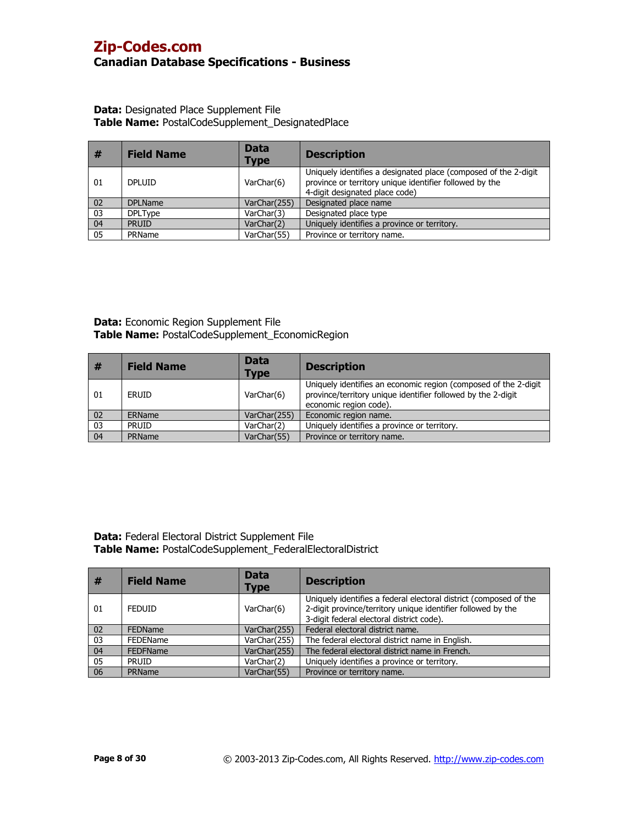### **Data:** Designated Place Supplement File **Table Name:** PostalCodeSupplement\_DesignatedPlace

| #  | <b>Field Name</b> | <b>Data</b><br><b>Type</b> | <b>Description</b>                                                                                                                                            |
|----|-------------------|----------------------------|---------------------------------------------------------------------------------------------------------------------------------------------------------------|
| 01 | <b>DPLUID</b>     | VarChar(6)                 | Uniquely identifies a designated place (composed of the 2-digit)<br>province or territory unique identifier followed by the<br>4-digit designated place code) |
| 02 | <b>DPLName</b>    | VarChar(255)               | Designated place name                                                                                                                                         |
| 03 | <b>DPLType</b>    | VarChar(3)                 | Designated place type                                                                                                                                         |
| 04 | <b>PRUID</b>      | VarChar(2)                 | Uniquely identifies a province or territory.                                                                                                                  |
| 05 | PRName            | VarChar(55)                | Province or territory name.                                                                                                                                   |

**Data:** Economic Region Supplement File **Table Name:** PostalCodeSupplement\_EconomicRegion

| #  | <b>Field Name</b> | <b>Data</b><br><b>Type</b> | <b>Description</b>                                                                                                                                        |
|----|-------------------|----------------------------|-----------------------------------------------------------------------------------------------------------------------------------------------------------|
| 01 | ERUID             | VarChar(6)                 | Uniquely identifies an economic region (composed of the 2-digit<br>province/territory unique identifier followed by the 2-digit<br>economic region code). |
| 02 | ERName            | VarChar(255)               | Economic region name.                                                                                                                                     |
| 03 | <b>PRUID</b>      | VarChar(2)                 | Uniquely identifies a province or territory.                                                                                                              |
| 04 | PRName            | VarChar(55)                | Province or territory name.                                                                                                                               |

**Data:** Federal Electoral District Supplement File **Table Name:** PostalCodeSupplement\_FederalElectoralDistrict

| #  | <b>Field Name</b> | <b>Data</b><br><b>Type</b> | <b>Description</b>                                                                                                                                                             |
|----|-------------------|----------------------------|--------------------------------------------------------------------------------------------------------------------------------------------------------------------------------|
| 01 | <b>FEDUID</b>     | VarChar(6)                 | Uniquely identifies a federal electoral district (composed of the<br>2-digit province/territory unique identifier followed by the<br>3-digit federal electoral district code). |
| 02 | <b>FEDName</b>    | VarChar(255)               | Federal electoral district name.                                                                                                                                               |
| 03 | <b>FEDEName</b>   | VarChar(255)               | The federal electoral district name in English.                                                                                                                                |
| 04 | <b>FEDFName</b>   | VarChar(255)               | The federal electoral district name in French.                                                                                                                                 |
| 05 | <b>PRUID</b>      | VarChar(2)                 | Uniquely identifies a province or territory.                                                                                                                                   |
| 06 | <b>PRName</b>     | VarChar(55)                | Province or territory name.                                                                                                                                                    |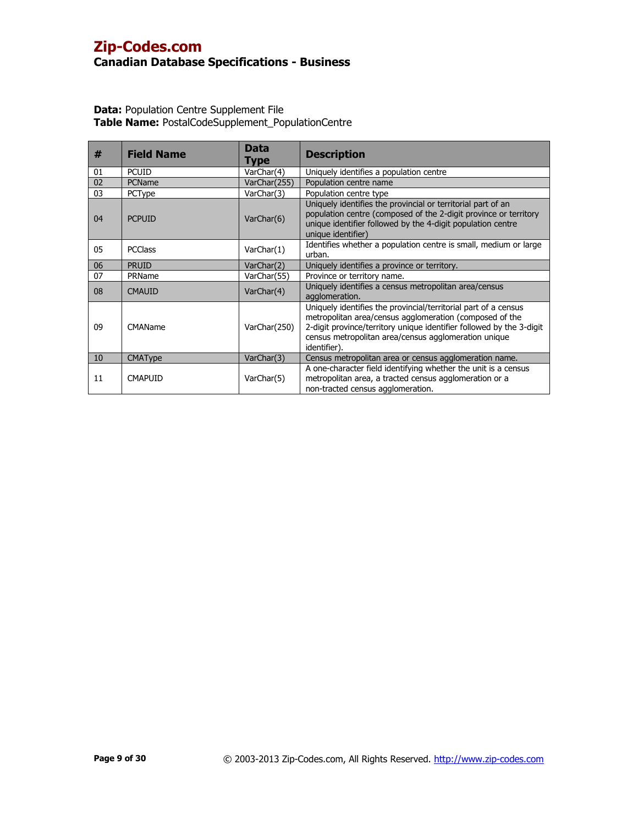| #  | <b>Field Name</b> | Data<br>Type | <b>Description</b>                                                                                                                                                                                                                                                         |
|----|-------------------|--------------|----------------------------------------------------------------------------------------------------------------------------------------------------------------------------------------------------------------------------------------------------------------------------|
| 01 | <b>PCUID</b>      | VarChar(4)   | Uniquely identifies a population centre                                                                                                                                                                                                                                    |
| 02 | PCName            | VarChar(255) | Population centre name                                                                                                                                                                                                                                                     |
| 03 | PCType            | VarChar(3)   | Population centre type                                                                                                                                                                                                                                                     |
| 04 | <b>PCPUID</b>     | VarChar(6)   | Uniquely identifies the provincial or territorial part of an<br>population centre (composed of the 2-digit province or territory<br>unique identifier followed by the 4-digit population centre<br>unique identifier)                                                      |
| 05 | <b>PCClass</b>    | VarChar(1)   | Identifies whether a population centre is small, medium or large<br>urban.                                                                                                                                                                                                 |
| 06 | <b>PRUID</b>      | VarChar(2)   | Uniquely identifies a province or territory.                                                                                                                                                                                                                               |
| 07 | PRName            | VarChar(55)  | Province or territory name.                                                                                                                                                                                                                                                |
| 08 | <b>CMAUID</b>     | VarChar(4)   | Uniquely identifies a census metropolitan area/census<br>agglomeration.                                                                                                                                                                                                    |
| 09 | CMAName           | VarChar(250) | Uniquely identifies the provincial/territorial part of a census<br>metropolitan area/census agglomeration (composed of the<br>2-digit province/territory unique identifier followed by the 3-digit<br>census metropolitan area/census agglomeration unique<br>identifier). |
| 10 | <b>CMAType</b>    | VarChar(3)   | Census metropolitan area or census agglomeration name.                                                                                                                                                                                                                     |
| 11 | <b>CMAPUID</b>    | VarChar(5)   | A one-character field identifying whether the unit is a census<br>metropolitan area, a tracted census agglomeration or a<br>non-tracted census agglomeration.                                                                                                              |

| <b>Data:</b> Population Centre Supplement File    |  |
|---------------------------------------------------|--|
| Table Name: PostalCodeSupplement_PopulationCentre |  |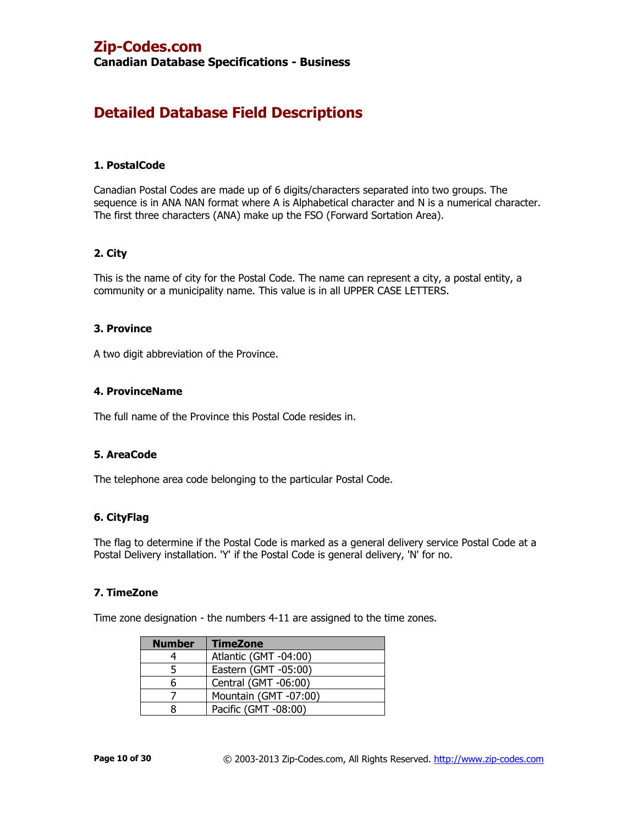**Canadian Database Specifications - Business**

# **Detailed Database Field Descriptions**

### **1. PostalCode**

Canadian Postal Codes are made up of 6 digits/characters separated into two groups. The sequence is in ANA NAN format where A is Alphabetical character and N is a numerical character. The first three characters (ANA) make up the FSO (Forward Sortation Area).

## **2. City**

This is the name of city for the Postal Code. The name can represent a city, a postal entity, a community or a municipality name. This value is in all UPPER CASE LETTERS.

### **3. Province**

A two digit abbreviation of the Province.

### **4. ProvinceName**

The full name of the Province this Postal Code resides in.

## **5. AreaCode**

The telephone area code belonging to the particular Postal Code.

### **6. CityFlag**

The flag to determine if the Postal Code is marked as a general delivery service Postal Code at a Postal Delivery installation. 'Y' if the Postal Code is general delivery, 'N' for no.

### **7. TimeZone**

Time zone designation - the numbers 4-11 are assigned to the time zones.

| <b>Number</b> | <b>TimeZone</b>       |
|---------------|-----------------------|
|               | Atlantic (GMT -04:00) |
| 5             | Eastern (GMT -05:00)  |
| 6             | Central (GMT -06:00)  |
|               | Mountain (GMT -07:00) |
| 8             | Pacific (GMT -08:00)  |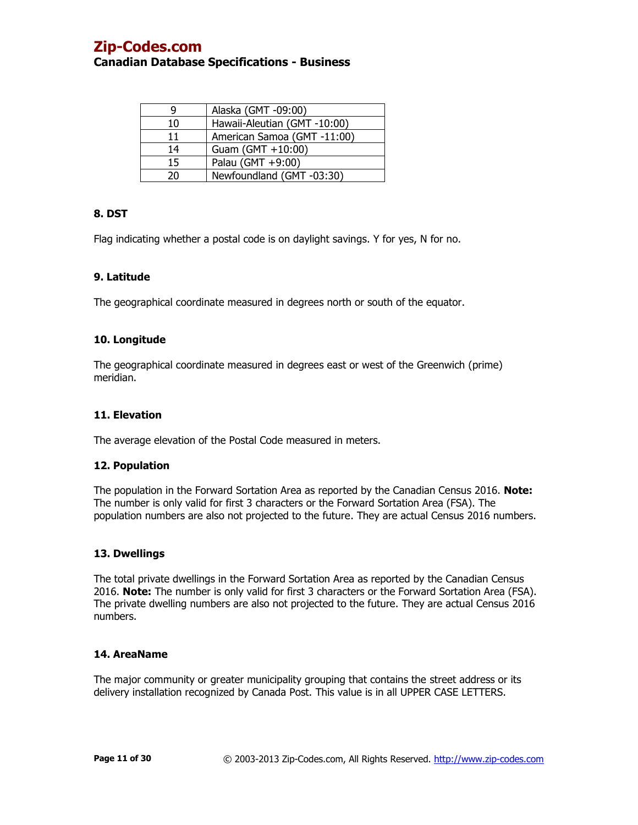| q  | Alaska (GMT -09:00)          |
|----|------------------------------|
| 10 | Hawaii-Aleutian (GMT -10:00) |
| 11 | American Samoa (GMT -11:00)  |
| 14 | Guam (GMT +10:00)            |
| 15 | Palau (GMT +9:00)            |
| 20 | Newfoundland (GMT-03:30)     |

# **8. DST**

Flag indicating whether a postal code is on daylight savings. Y for yes, N for no.

## **9. Latitude**

The geographical coordinate measured in degrees north or south of the equator.

## **10. Longitude**

The geographical coordinate measured in degrees east or west of the Greenwich (prime) meridian.

# **11. Elevation**

The average elevation of the Postal Code measured in meters.

## **12. Population**

The population in the Forward Sortation Area as reported by the Canadian Census 2016. **Note:** The number is only valid for first 3 characters or the Forward Sortation Area (FSA). The population numbers are also not projected to the future. They are actual Census 2016 numbers.

## **13. Dwellings**

The total private dwellings in the Forward Sortation Area as reported by the Canadian Census 2016. **Note:** The number is only valid for first 3 characters or the Forward Sortation Area (FSA). The private dwelling numbers are also not projected to the future. They are actual Census 2016 numbers.

## **14. AreaName**

The major community or greater municipality grouping that contains the street address or its delivery installation recognized by Canada Post. This value is in all UPPER CASE LETTERS.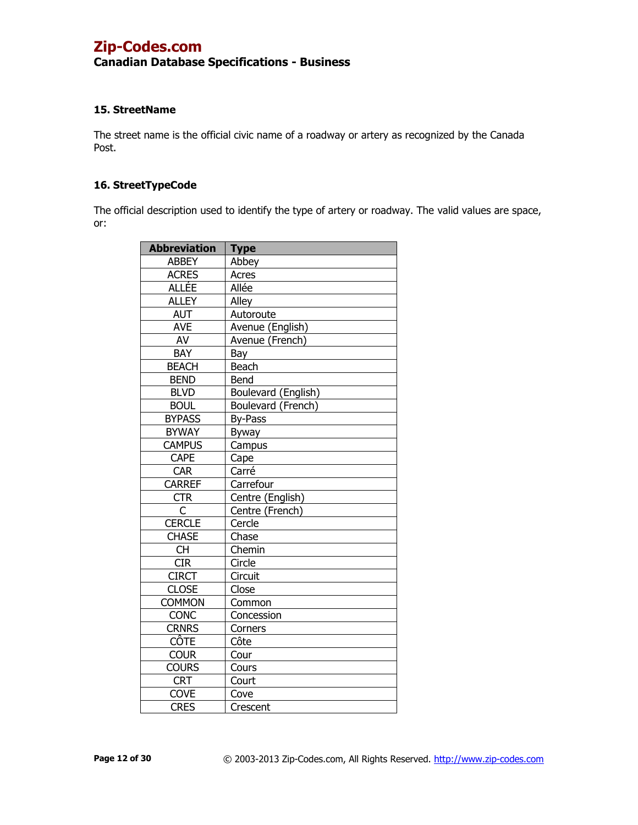# **Canadian Database Specifications - Business**

# **15. StreetName**

The street name is the official civic name of a roadway or artery as recognized by the Canada Post.

### **16. StreetTypeCode**

The official description used to identify the type of artery or roadway. The valid values are space, or:

| <b>Abbreviation</b> | <b>Type</b>         |
|---------------------|---------------------|
| <b>ABBEY</b>        | Abbey               |
| <b>ACRES</b>        | Acres               |
| <b>ALLÉE</b>        | Allée               |
| <b>ALLEY</b>        | Alley               |
| <b>AUT</b>          | Autoroute           |
| <b>AVE</b>          | Avenue (English)    |
| AV                  | Avenue (French)     |
| <b>BAY</b>          | Bay                 |
| <b>BEACH</b>        | Beach               |
| <b>BEND</b>         | Bend                |
| <b>BLVD</b>         | Boulevard (English) |
| <b>BOUL</b>         | Boulevard (French)  |
| <b>BYPASS</b>       | By-Pass             |
| <b>BYWAY</b>        | Byway               |
| <b>CAMPUS</b>       | Campus              |
| <b>CAPE</b>         | Cape                |
| <b>CAR</b>          | Carré               |
| <b>CARREF</b>       | Carrefour           |
| <b>CTR</b>          | Centre (English)    |
| C                   | Centre (French)     |
| <b>CERCLE</b>       | Cercle              |
| <b>CHASE</b>        | Chase               |
| <b>CH</b>           | Chemin              |
| CIR                 | Circle              |
| <b>CIRCT</b>        | Circuit             |
| <b>CLOSE</b>        | Close               |
| <b>COMMON</b>       | Common              |
| <b>CONC</b>         | Concession          |
| <b>CRNRS</b>        | Corners             |
| <b>CÔTE</b>         | Côte                |
| <b>COUR</b>         | Cour                |
| <b>COURS</b>        | Cours               |
| <b>CRT</b>          | Court               |
| <b>COVE</b>         | Cove                |
| <b>CRES</b>         | Crescent            |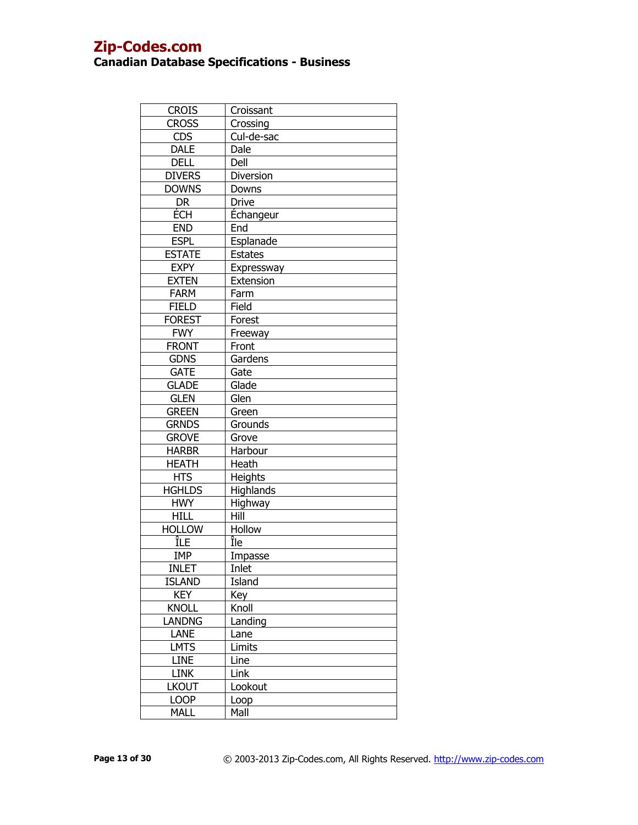| <b>CROIS</b>  | Croissant        |
|---------------|------------------|
| <b>CROSS</b>  | Crossing         |
| <b>CDS</b>    | Cul-de-sac       |
| <b>DALE</b>   | Dale             |
| <b>DELL</b>   | Dell             |
| <b>DIVERS</b> | Diversion        |
| <b>DOWNS</b>  | Downs            |
| DR            | <b>Drive</b>     |
| ECH           | <b>Échangeur</b> |
| <b>END</b>    | End              |
| <b>ESPL</b>   | Esplanade        |
| <b>ESTATE</b> | <b>Estates</b>   |
| <b>EXPY</b>   | Expressway       |
| <b>EXTEN</b>  | Extension        |
| <b>FARM</b>   | Farm             |
| <b>FIELD</b>  | Field            |
| <b>FOREST</b> | Forest           |
| <b>FWY</b>    | Freeway          |
| <b>FRONT</b>  | Front            |
| <b>GDNS</b>   | Gardens          |
| <b>GATE</b>   | Gate             |
| <b>GLADE</b>  | Glade            |
| <b>GLEN</b>   | Glen             |
| <b>GREEN</b>  | Green            |
| <b>GRNDS</b>  | Grounds          |
| <b>GROVE</b>  | Grove            |
| <b>HARBR</b>  | Harbour          |
| HEATH         | Heath            |
| <b>HTS</b>    | Heights          |
| <b>HGHLDS</b> | <b>Highlands</b> |
| <b>HWY</b>    | Highway          |
| <b>HILL</b>   | Hill             |
| <b>HOLLOW</b> | Hollow           |
| ÎLE           | Île              |
| <b>IMP</b>    | Impasse          |
| <b>INLET</b>  | Inlet            |
| <b>ISLAND</b> | Island           |
| <b>KEY</b>    | Key              |
| <b>KNOLL</b>  | Knoll            |
| LANDNG        | Landing          |
| LANE          | Lane             |
| <b>LMTS</b>   | Limits           |
| <b>LINE</b>   | Line             |
| <b>LINK</b>   | Link             |
| <b>LKOUT</b>  | Lookout          |
| <b>LOOP</b>   | Loop             |
| <b>MALL</b>   | Mall             |
|               |                  |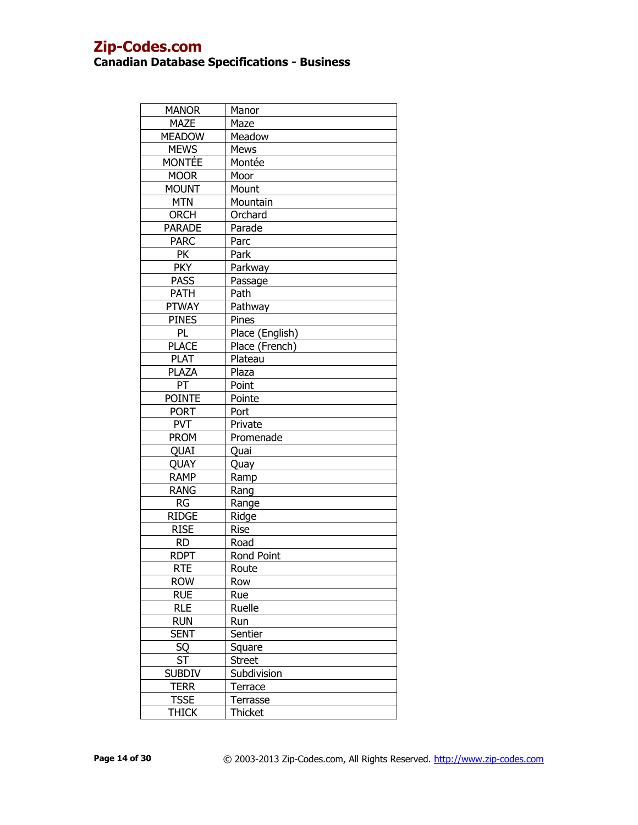| <b>MANOR</b>  | Manor           |
|---------------|-----------------|
| <b>MAZE</b>   | Maze            |
| <b>MEADOW</b> | Meadow          |
| <b>MEWS</b>   | Mews            |
| <b>MONTEE</b> | Montée          |
| <b>MOOR</b>   | Moor            |
| <b>MOUNT</b>  | Mount           |
| <b>MTN</b>    | Mountain        |
| <b>ORCH</b>   | Orchard         |
| <b>PARADE</b> | Parade          |
| <b>PARC</b>   | Parc            |
| <b>PK</b>     | Park            |
| <b>PKY</b>    | Parkway         |
| <b>PASS</b>   | Passage         |
| <b>PATH</b>   | Path            |
| <b>PTWAY</b>  | Pathway         |
| <b>PINES</b>  | Pines           |
| PL            | Place (English) |
| <b>PLACE</b>  | Place (French)  |
| <b>PLAT</b>   | Plateau         |
| <b>PLAZA</b>  | Plaza           |
| PT            | Point           |
| <b>POINTE</b> | Pointe          |
| <b>PORT</b>   | Port            |
| <b>PVT</b>    | Private         |
| <b>PROM</b>   | Promenade       |
| QUAI          | Quai            |
| QUAY          | Quay            |
| <b>RAMP</b>   | Ramp            |
| <b>RANG</b>   | Rang            |
| RG            | Range           |
| <b>RIDGE</b>  | Ridge           |
| <b>RISE</b>   | Rise            |
| <b>RD</b>     | Road            |
| <b>RDPT</b>   | Rond Point      |
| <b>RTE</b>    | Route           |
| <b>ROW</b>    | Row             |
| <b>RUE</b>    | Rue             |
| <b>RLE</b>    | Ruelle          |
| <b>RUN</b>    | Run             |
| <b>SENT</b>   | Sentier         |
| SQ            | Square          |
| <b>ST</b>     | <b>Street</b>   |
| <b>SUBDIV</b> | Subdivision     |
| <b>TERR</b>   | Terrace         |
| <b>TSSE</b>   | Terrasse        |
| <b>THICK</b>  | <b>Thicket</b>  |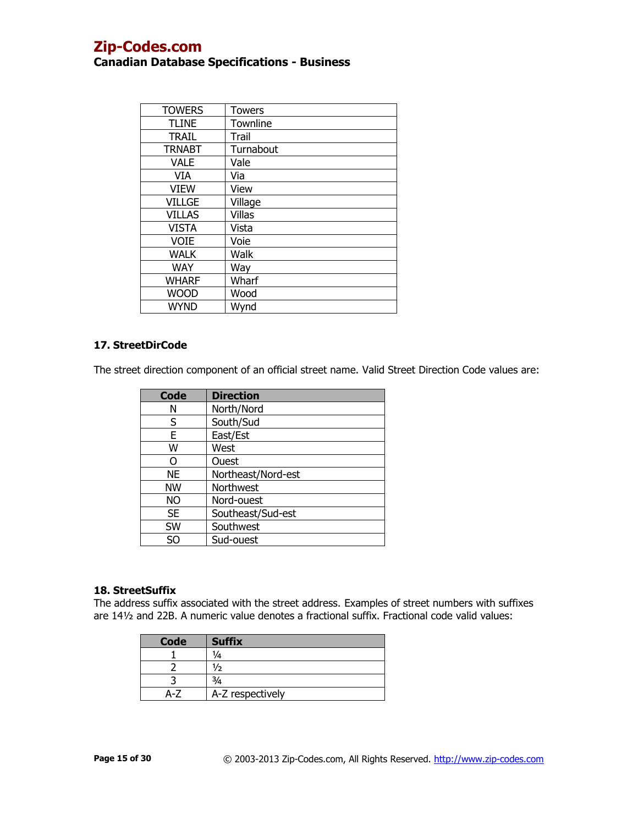| <b>TOWERS</b> | Towers    |
|---------------|-----------|
| <b>TLINE</b>  | Townline  |
| <b>TRAIL</b>  | Trail     |
| <b>TRNABT</b> | Turnabout |
| <b>VALE</b>   | Vale      |
| VIA           | Via       |
| <b>VIEW</b>   | View      |
| <b>VILLGE</b> | Village   |
| <b>VILLAS</b> | Villas    |
| <b>VISTA</b>  | Vista     |
| <b>VOIE</b>   | Voie      |
| <b>WALK</b>   | Walk      |
| <b>WAY</b>    | Way       |
| <b>WHARF</b>  | Wharf     |
| <b>WOOD</b>   | Wood      |
| <b>WYND</b>   | Wynd      |

# **17. StreetDirCode**

The street direction component of an official street name. Valid Street Direction Code values are:

| Code      | <b>Direction</b>   |
|-----------|--------------------|
| Ν         | North/Nord         |
| S         | South/Sud          |
| E         | East/Est           |
| W         | West               |
| റ         | Ouest              |
| <b>NE</b> | Northeast/Nord-est |
| <b>NW</b> | Northwest          |
| NΟ        | Nord-ouest         |
| <b>SE</b> | Southeast/Sud-est  |
| SW        | Southwest          |
| SΩ        | Sud-ouest          |

# **18. StreetSuffix**

The address suffix associated with the street address. Examples of street numbers with suffixes are 14½ and 22B. A numeric value denotes a fractional suffix. Fractional code valid values:

| <b>Code</b> | <b>Suffix</b>    |
|-------------|------------------|
|             | 74               |
|             | /2               |
|             |                  |
|             | A-Z respectively |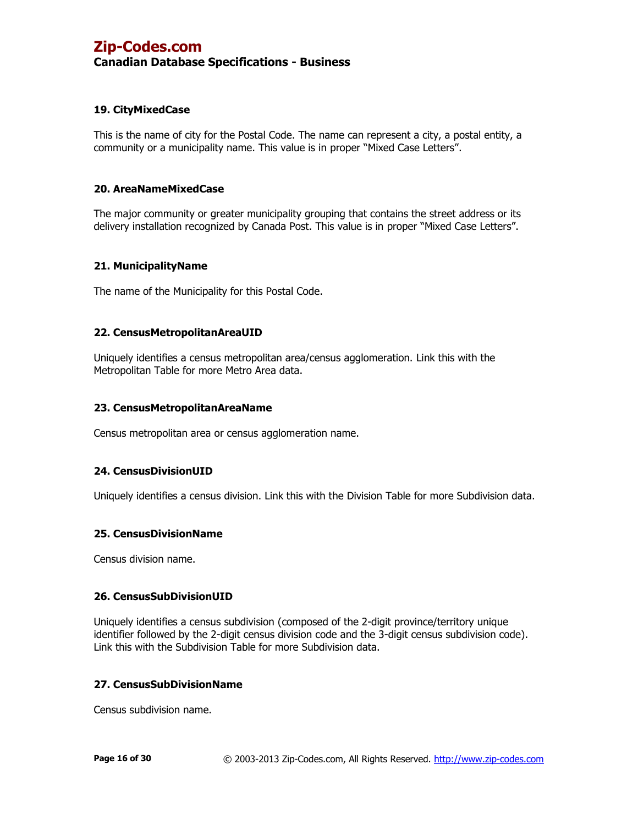# **19. CityMixedCase**

This is the name of city for the Postal Code. The name can represent a city, a postal entity, a community or a municipality name. This value is in proper "Mixed Case Letters".

### **20. AreaNameMixedCase**

The major community or greater municipality grouping that contains the street address or its delivery installation recognized by Canada Post. This value is in proper "Mixed Case Letters".

### **21. MunicipalityName**

The name of the Municipality for this Postal Code.

### **22. CensusMetropolitanAreaUID**

Uniquely identifies a census metropolitan area/census agglomeration. Link this with the Metropolitan Table for more Metro Area data.

### **23. CensusMetropolitanAreaName**

Census metropolitan area or census agglomeration name.

### **24. CensusDivisionUID**

Uniquely identifies a census division. Link this with the Division Table for more Subdivision data.

### **25. CensusDivisionName**

Census division name.

### **26. CensusSubDivisionUID**

Uniquely identifies a census subdivision (composed of the 2-digit province/territory unique identifier followed by the 2-digit census division code and the 3-digit census subdivision code). Link this with the Subdivision Table for more Subdivision data.

### **27. CensusSubDivisionName**

Census subdivision name.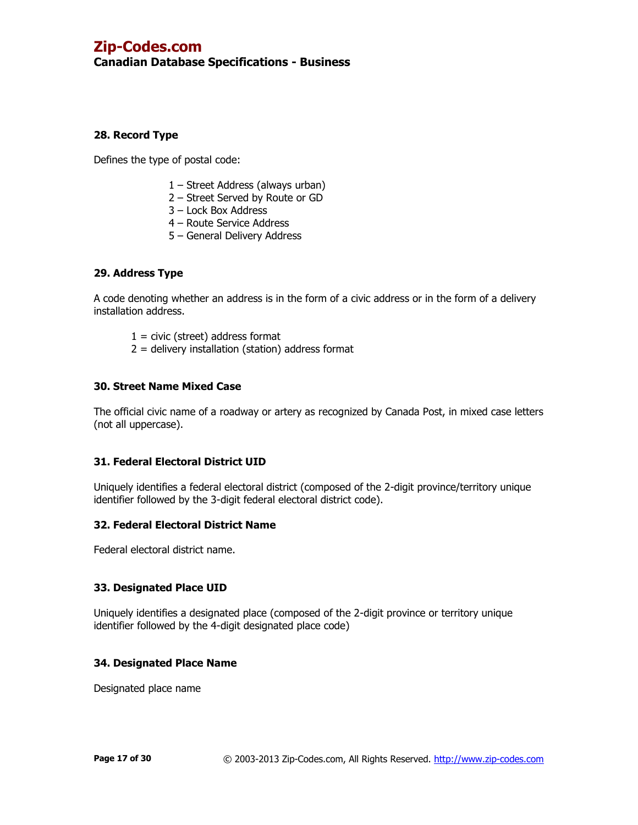# **Canadian Database Specifications - Business**

# **28. Record Type**

Defines the type of postal code:

- 1 Street Address (always urban)
- 2 Street Served by Route or GD
- 3 Lock Box Address
- 4 Route Service Address
- 5 General Delivery Address

# **29. Address Type**

A code denoting whether an address is in the form of a civic address or in the form of a delivery installation address.

- $1 =$  civic (street) address format
- $2 =$  delivery installation (station) address format

# **30. Street Name Mixed Case**

The official civic name of a roadway or artery as recognized by Canada Post, in mixed case letters (not all uppercase).

## **31. Federal Electoral District UID**

Uniquely identifies a federal electoral district (composed of the 2-digit province/territory unique identifier followed by the 3-digit federal electoral district code).

## **32. Federal Electoral District Name**

Federal electoral district name.

## **33. Designated Place UID**

Uniquely identifies a designated place (composed of the 2-digit province or territory unique identifier followed by the 4-digit designated place code)

## **34. Designated Place Name**

Designated place name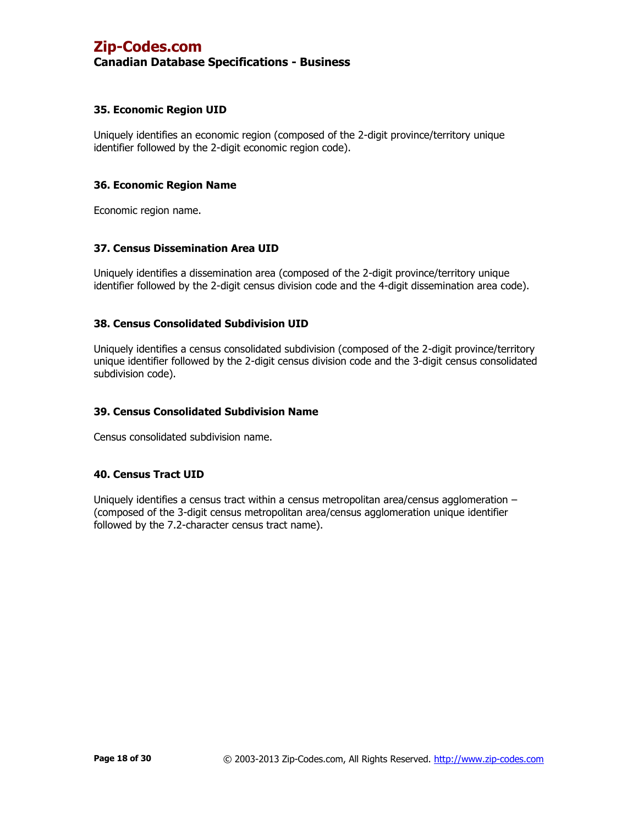## **35. Economic Region UID**

Uniquely identifies an economic region (composed of the 2-digit province/territory unique identifier followed by the 2-digit economic region code).

### **36. Economic Region Name**

Economic region name.

### **37. Census Dissemination Area UID**

Uniquely identifies a dissemination area (composed of the 2-digit province/territory unique identifier followed by the 2-digit census division code and the 4-digit dissemination area code).

## **38. Census Consolidated Subdivision UID**

Uniquely identifies a census consolidated subdivision (composed of the 2-digit province/territory unique identifier followed by the 2-digit census division code and the 3-digit census consolidated subdivision code).

### **39. Census Consolidated Subdivision Name**

Census consolidated subdivision name.

### **40. Census Tract UID**

Uniquely identifies a census tract within a census metropolitan area/census agglomeration – (composed of the 3-digit census metropolitan area/census agglomeration unique identifier followed by the 7.2-character census tract name).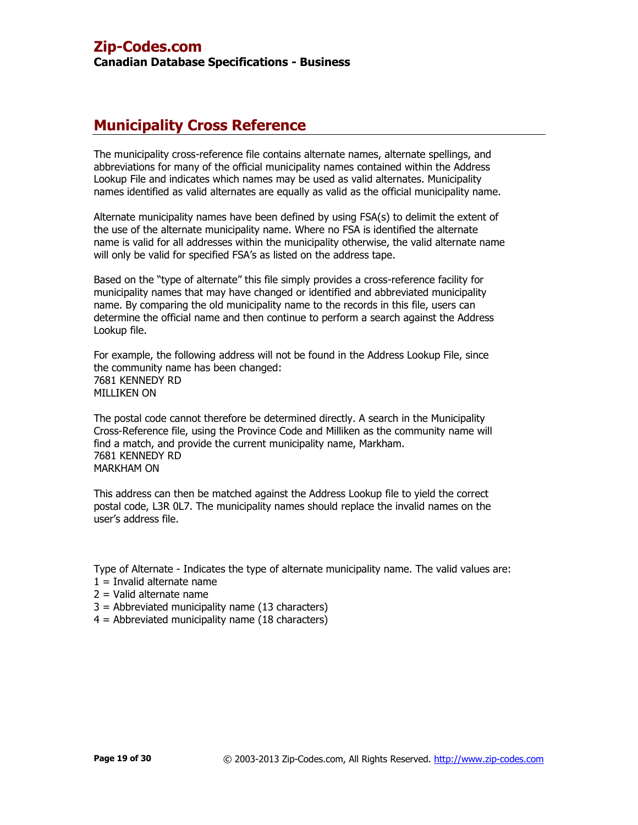# **Municipality Cross Reference**

The municipality cross-reference file contains alternate names, alternate spellings, and abbreviations for many of the official municipality names contained within the Address Lookup File and indicates which names may be used as valid alternates. Municipality names identified as valid alternates are equally as valid as the official municipality name.

Alternate municipality names have been defined by using FSA(s) to delimit the extent of the use of the alternate municipality name. Where no FSA is identified the alternate name is valid for all addresses within the municipality otherwise, the valid alternate name will only be valid for specified FSA's as listed on the address tape.

Based on the "type of alternate" this file simply provides a cross-reference facility for municipality names that may have changed or identified and abbreviated municipality name. By comparing the old municipality name to the records in this file, users can determine the official name and then continue to perform a search against the Address Lookup file.

For example, the following address will not be found in the Address Lookup File, since the community name has been changed: 7681 KENNEDY RD MILLIKEN ON

The postal code cannot therefore be determined directly. A search in the Municipality Cross-Reference file, using the Province Code and Milliken as the community name will find a match, and provide the current municipality name, Markham. 7681 KENNEDY RD MARKHAM ON

This address can then be matched against the Address Lookup file to yield the correct postal code, L3R 0L7. The municipality names should replace the invalid names on the user's address file.

Type of Alternate - Indicates the type of alternate municipality name. The valid values are:

- $1 =$  Invalid alternate name
- 2 = Valid alternate name
- 3 = Abbreviated municipality name (13 characters)
- 4 = Abbreviated municipality name (18 characters)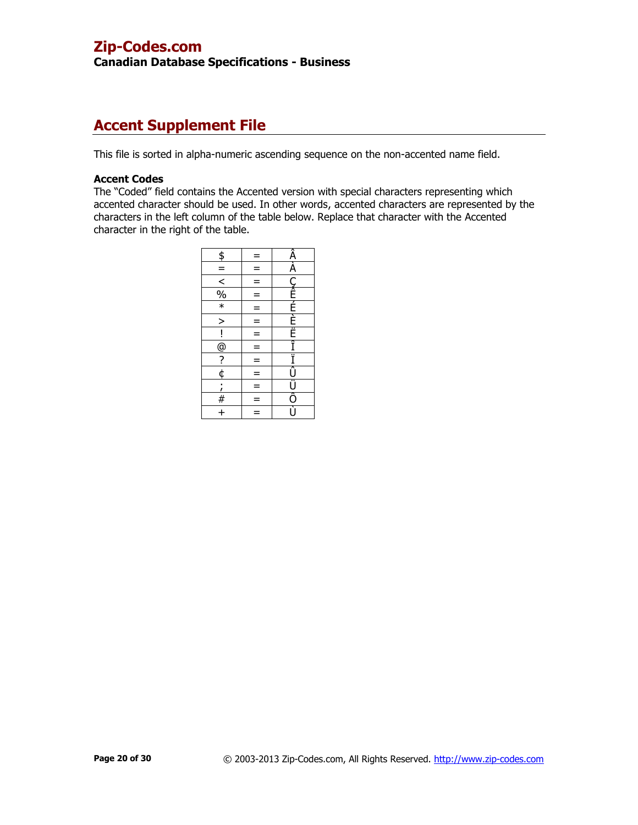**Canadian Database Specifications - Business**

# **Accent Supplement File**

This file is sorted in alpha-numeric ascending sequence on the non-accented name field.

### **Accent Codes**

The "Coded" field contains the Accented version with special characters representing which accented character should be used. In other words, accented characters are represented by the characters in the left column of the table below. Replace that character with the Accented character in the right of the table.

| \$                                                                                                                                                                                                                                                                                                                                                                                          | $=$      | <u>Á A CÉEE E Ë Ë i i j juio</u> |
|---------------------------------------------------------------------------------------------------------------------------------------------------------------------------------------------------------------------------------------------------------------------------------------------------------------------------------------------------------------------------------------------|----------|----------------------------------|
| $\equiv$                                                                                                                                                                                                                                                                                                                                                                                    | $\equiv$ |                                  |
|                                                                                                                                                                                                                                                                                                                                                                                             | $=$      |                                  |
| $\frac{1}{28}$                                                                                                                                                                                                                                                                                                                                                                              | $=$      |                                  |
|                                                                                                                                                                                                                                                                                                                                                                                             | $=$      |                                  |
| $\geq$                                                                                                                                                                                                                                                                                                                                                                                      | $=$      |                                  |
|                                                                                                                                                                                                                                                                                                                                                                                             | $\equiv$ |                                  |
|                                                                                                                                                                                                                                                                                                                                                                                             | $=$      |                                  |
| $\frac{1}{\omega}$ $\frac{1}{\omega}$ $\frac{1}{\omega}$ $\frac{1}{\omega}$ $\frac{1}{\omega}$ $\frac{1}{\omega}$ $\frac{1}{\omega}$ $\frac{1}{\omega}$ $\frac{1}{\omega}$ $\frac{1}{\omega}$ $\frac{1}{\omega}$ $\frac{1}{\omega}$ $\frac{1}{\omega}$ $\frac{1}{\omega}$ $\frac{1}{\omega}$ $\frac{1}{\omega}$ $\frac{1}{\omega}$ $\frac{1}{\omega}$ $\frac{1}{\omega}$ $\frac{1}{\omega}$ | $=$      |                                  |
|                                                                                                                                                                                                                                                                                                                                                                                             | $\equiv$ |                                  |
|                                                                                                                                                                                                                                                                                                                                                                                             | $=$      |                                  |
| $\frac{\frac{1}{2}}{1}$                                                                                                                                                                                                                                                                                                                                                                     | $=$      |                                  |
|                                                                                                                                                                                                                                                                                                                                                                                             | $=$      |                                  |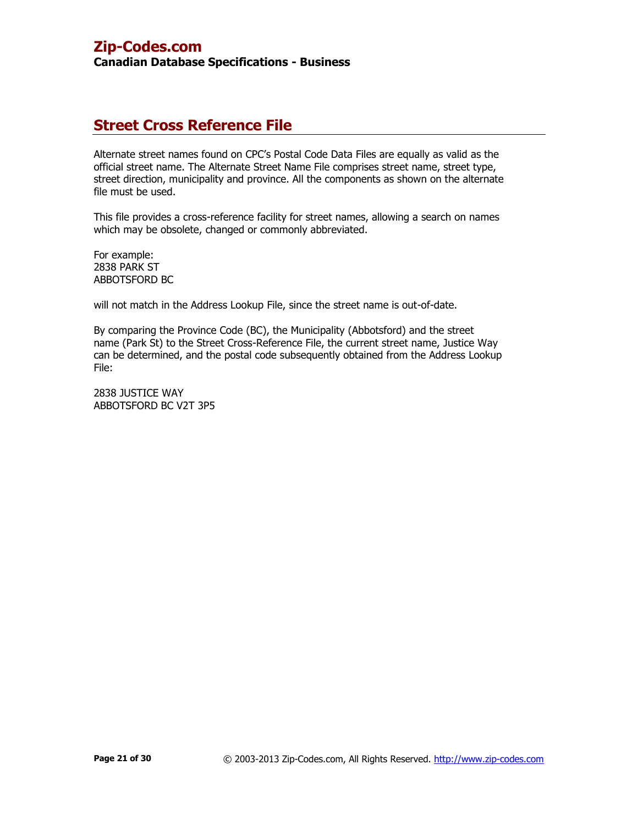# **Street Cross Reference File**

Alternate street names found on CPC's Postal Code Data Files are equally as valid as the official street name. The Alternate Street Name File comprises street name, street type, street direction, municipality and province. All the components as shown on the alternate file must be used.

This file provides a cross-reference facility for street names, allowing a search on names which may be obsolete, changed or commonly abbreviated.

For example: 2838 PARK ST ABBOTSFORD BC

will not match in the Address Lookup File, since the street name is out-of-date.

By comparing the Province Code (BC), the Municipality (Abbotsford) and the street name (Park St) to the Street Cross-Reference File, the current street name, Justice Way can be determined, and the postal code subsequently obtained from the Address Lookup File:

2838 JUSTICE WAY ABBOTSFORD BC V2T 3P5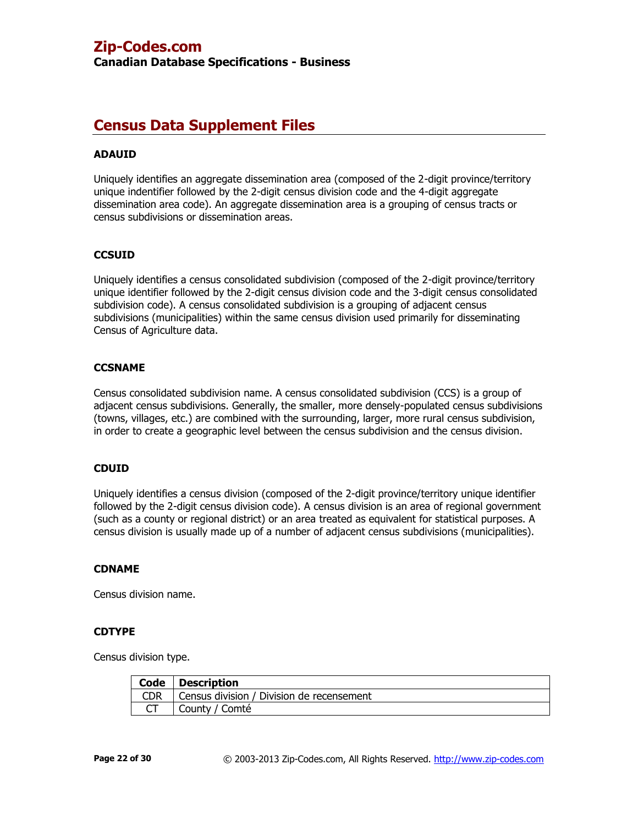**Canadian Database Specifications - Business**

# **Census Data Supplement Files**

# **ADAUID**

Uniquely identifies an aggregate dissemination area (composed of the 2-digit province/territory unique indentifier followed by the 2-digit census division code and the 4-digit aggregate dissemination area code). An aggregate dissemination area is a grouping of census tracts or census subdivisions or dissemination areas.

# **CCSUID**

Uniquely identifies a census consolidated subdivision (composed of the 2-digit province/territory unique identifier followed by the 2-digit census division code and the 3-digit census consolidated subdivision code). A census consolidated subdivision is a grouping of adjacent census subdivisions (municipalities) within the same census division used primarily for disseminating Census of Agriculture data.

## **CCSNAME**

Census consolidated subdivision name. A census consolidated subdivision (CCS) is a group of adjacent census subdivisions. Generally, the smaller, more densely-populated census subdivisions (towns, villages, etc.) are combined with the surrounding, larger, more rural census subdivision, in order to create a geographic level between the census subdivision and the census division.

### **CDUID**

Uniquely identifies a census division (composed of the 2-digit province/territory unique identifier followed by the 2-digit census division code). A census division is an area of regional government (such as a county or regional district) or an area treated as equivalent for statistical purposes. A census division is usually made up of a number of adjacent census subdivisions (municipalities).

### **CDNAME**

Census division name.

## **CDTYPE**

Census division type.

|            | Code   Description                        |
|------------|-------------------------------------------|
| <b>CDR</b> | Census division / Division de recensement |
|            | County / Comté                            |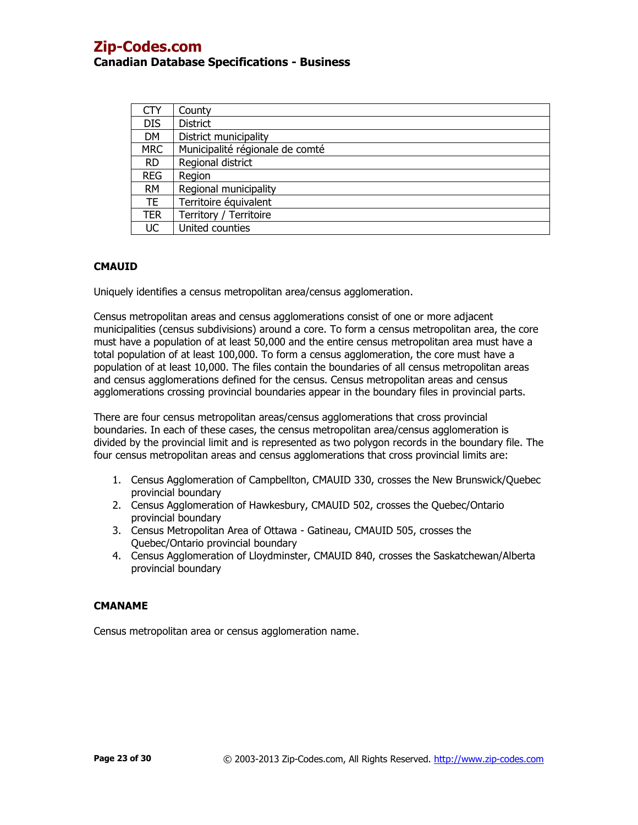| CTY        | County                          |
|------------|---------------------------------|
| <b>DIS</b> | <b>District</b>                 |
| <b>DM</b>  | District municipality           |
| <b>MRC</b> | Municipalité régionale de comté |
| <b>RD</b>  | Regional district               |
| <b>REG</b> | Region                          |
| <b>RM</b>  | Regional municipality           |
| TE.        | Territoire équivalent           |
| TER        | Territory / Territoire          |
| UC         | United counties                 |

### **CMAUID**

Uniquely identifies a census metropolitan area/census agglomeration.

Census metropolitan areas and census agglomerations consist of one or more adjacent municipalities (census subdivisions) around a core. To form a census metropolitan area, the core must have a population of at least 50,000 and the entire census metropolitan area must have a total population of at least 100,000. To form a census agglomeration, the core must have a population of at least 10,000. The files contain the boundaries of all census metropolitan areas and census agglomerations defined for the census. Census metropolitan areas and census agglomerations crossing provincial boundaries appear in the boundary files in provincial parts.

There are four census metropolitan areas/census agglomerations that cross provincial boundaries. In each of these cases, the census metropolitan area/census agglomeration is divided by the provincial limit and is represented as two polygon records in the boundary file. The four census metropolitan areas and census agglomerations that cross provincial limits are:

- 1. Census Agglomeration of Campbellton, CMAUID 330, crosses the New Brunswick/Quebec provincial boundary
- 2. Census Agglomeration of Hawkesbury, CMAUID 502, crosses the Quebec/Ontario provincial boundary
- 3. Census Metropolitan Area of Ottawa Gatineau, CMAUID 505, crosses the Quebec/Ontario provincial boundary
- 4. Census Agglomeration of Lloydminster, CMAUID 840, crosses the Saskatchewan/Alberta provincial boundary

### **CMANAME**

Census metropolitan area or census agglomeration name.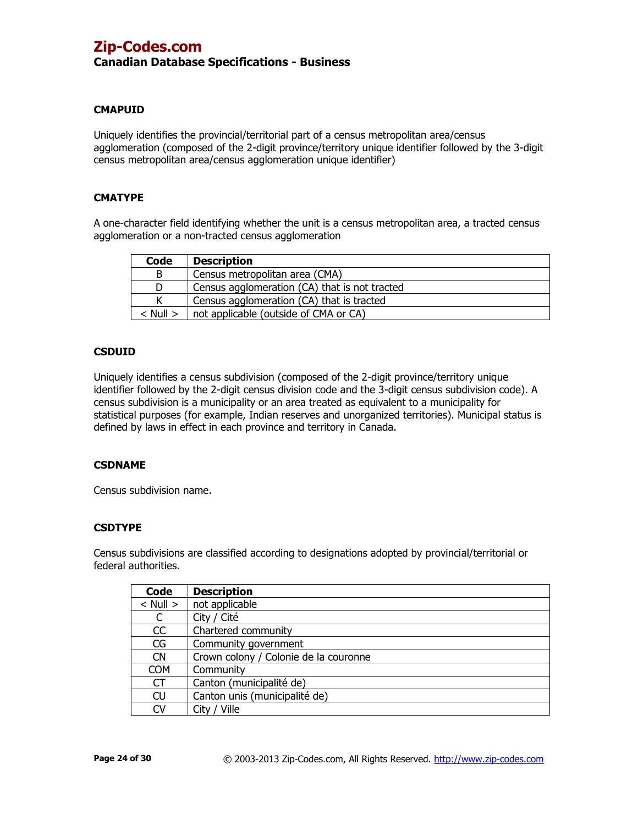## **CMAPUID**

Uniquely identifies the provincial/territorial part of a census metropolitan area/census agglomeration (composed of the 2-digit province/territory unique identifier followed by the 3-digit census metropolitan area/census agglomeration unique identifier)

### **CMATYPE**

A one-character field identifying whether the unit is a census metropolitan area, a tracted census agglomeration or a non-tracted census agglomeration

| Code         | <b>Description</b>                            |
|--------------|-----------------------------------------------|
| B            | Census metropolitan area (CMA)                |
|              | Census agglomeration (CA) that is not tracted |
|              | Census agglomeration (CA) that is tracted     |
| $<$ Null $>$ | not applicable (outside of CMA or CA)         |

### **CSDUID**

Uniquely identifies a census subdivision (composed of the 2-digit province/territory unique identifier followed by the 2-digit census division code and the 3-digit census subdivision code). A census subdivision is a municipality or an area treated as equivalent to a municipality for statistical purposes (for example, Indian reserves and unorganized territories). Municipal status is defined by laws in effect in each province and territory in Canada.

### **CSDNAME**

Census subdivision name.

### **CSDTYPE**

Census subdivisions are classified according to designations adopted by provincial/territorial or federal authorities.

| Code         | <b>Description</b>                    |
|--------------|---------------------------------------|
| $<$ Null $>$ | not applicable                        |
|              | City / Cité                           |
| CC           | Chartered community                   |
| CG           | Community government                  |
| <b>CN</b>    | Crown colony / Colonie de la couronne |
| <b>COM</b>   | Community                             |
| СT           | Canton (municipalité de)              |
| <b>CU</b>    | Canton unis (municipalité de)         |
| CV           | City / Ville                          |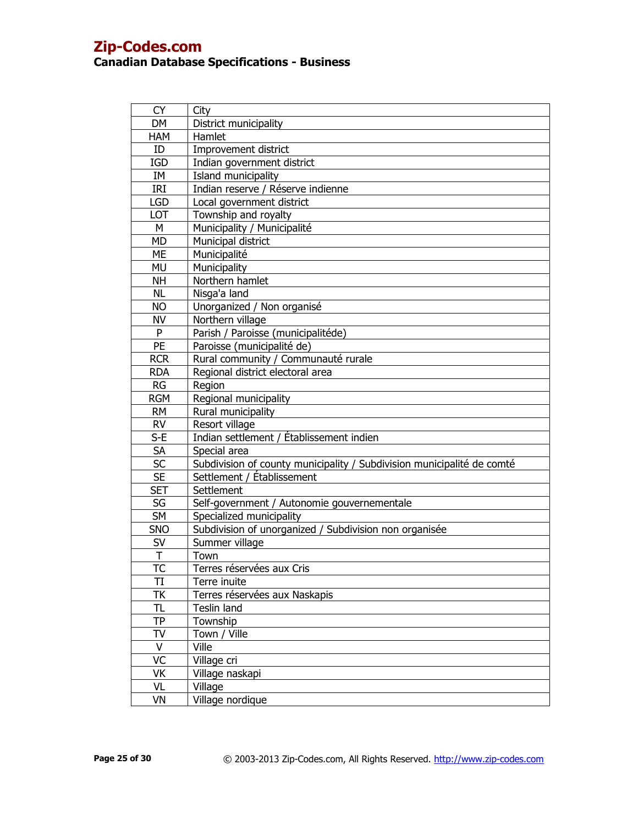| <b>CY</b>               | City                                                                   |
|-------------------------|------------------------------------------------------------------------|
| <b>DM</b>               | District municipality                                                  |
| <b>HAM</b>              | Hamlet                                                                 |
| ID                      | Improvement district                                                   |
| <b>IGD</b>              | Indian government district                                             |
| IM                      | Island municipality                                                    |
| IRI                     | Indian reserve / Réserve indienne                                      |
| <b>LGD</b>              | Local government district                                              |
| LOT                     | Township and royalty                                                   |
| М                       | Municipality / Municipalité                                            |
| <b>MD</b>               | Municipal district                                                     |
| <b>ME</b>               | Municipalité                                                           |
| <b>MU</b>               | Municipality                                                           |
| <b>NH</b>               | Northern hamlet                                                        |
| <b>NL</b>               | Nisga'a land                                                           |
| <b>NO</b>               | Unorganized / Non organisé                                             |
| <b>NV</b>               | Northern village                                                       |
| P                       | Parish / Paroisse (municipalitéde)                                     |
| PE                      | Paroisse (municipalité de)                                             |
| <b>RCR</b>              | Rural community / Communauté rurale                                    |
| <b>RDA</b>              | Regional district electoral area                                       |
| <b>RG</b>               | Region                                                                 |
| <b>RGM</b>              | Regional municipality                                                  |
| <b>RM</b>               | Rural municipality                                                     |
| <b>RV</b>               | Resort village                                                         |
| $S-E$                   | Indian settlement / Établissement indien                               |
| <b>SA</b>               | Special area                                                           |
| <b>SC</b>               | Subdivision of county municipality / Subdivision municipalité de comté |
| <b>SE</b>               | Settlement / Établissement                                             |
| <b>SET</b>              | Settlement                                                             |
| SG                      | Self-government / Autonomie gouvernementale                            |
| <b>SM</b>               | Specialized municipality                                               |
| <b>SNO</b>              | Subdivision of unorganized / Subdivision non organisée                 |
| SV                      | Summer village                                                         |
| $\overline{\mathsf{T}}$ | Town                                                                   |
| TC                      | Terres réservées aux Cris                                              |
| TI                      | Terre inuite                                                           |
| ТK                      | Terres réservées aux Naskapis                                          |
| TL                      | Teslin land                                                            |
| TP                      | Township                                                               |
| TV                      | Town / Ville                                                           |
| $\vee$                  | Ville                                                                  |
| VC                      | Village cri                                                            |
| VK                      | Village naskapi                                                        |
| VL                      | Village                                                                |
| VN                      | Village nordique                                                       |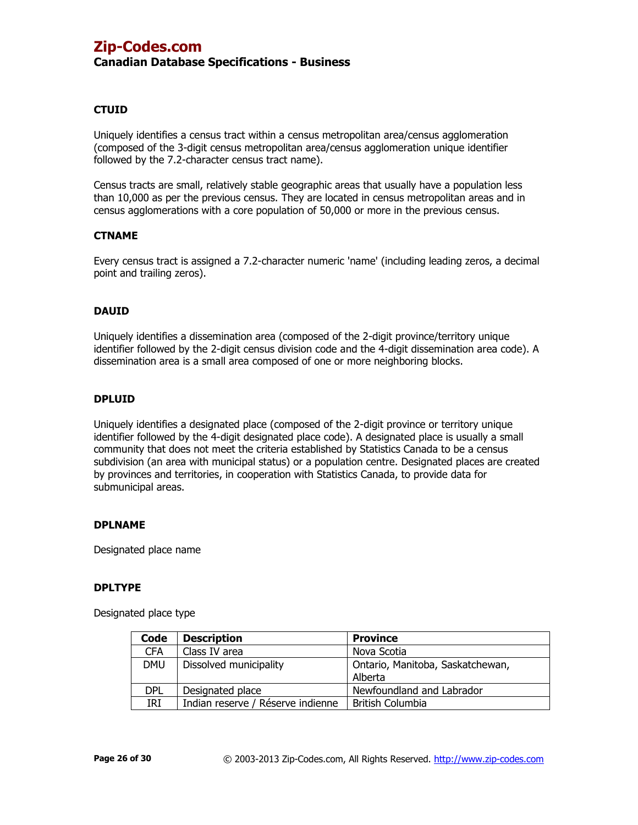### **CTUID**

Uniquely identifies a census tract within a census metropolitan area/census agglomeration (composed of the 3-digit census metropolitan area/census agglomeration unique identifier followed by the 7.2-character census tract name).

Census tracts are small, relatively stable geographic areas that usually have a population less than 10,000 as per the previous census. They are located in census metropolitan areas and in census agglomerations with a core population of 50,000 or more in the previous census.

### **CTNAME**

Every census tract is assigned a 7.2-character numeric 'name' (including leading zeros, a decimal point and trailing zeros).

### **DAUID**

Uniquely identifies a dissemination area (composed of the 2-digit province/territory unique identifier followed by the 2-digit census division code and the 4-digit dissemination area code). A dissemination area is a small area composed of one or more neighboring blocks.

#### **DPLUID**

Uniquely identifies a designated place (composed of the 2-digit province or territory unique identifier followed by the 4-digit designated place code). A designated place is usually a small community that does not meet the criteria established by Statistics Canada to be a census subdivision (an area with municipal status) or a population centre. Designated places are created by provinces and territories, in cooperation with Statistics Canada, to provide data for submunicipal areas.

### **DPLNAME**

Designated place name

### **DPLTYPE**

Designated place type

| Code       | <b>Description</b>                | <b>Province</b>                  |
|------------|-----------------------------------|----------------------------------|
| <b>CFA</b> | Class IV area                     | Nova Scotia                      |
| <b>DMU</b> | Dissolved municipality            | Ontario, Manitoba, Saskatchewan, |
|            |                                   | Alberta                          |
| <b>DPL</b> | Designated place                  | Newfoundland and Labrador        |
| IRI        | Indian reserve / Réserve indienne | <b>British Columbia</b>          |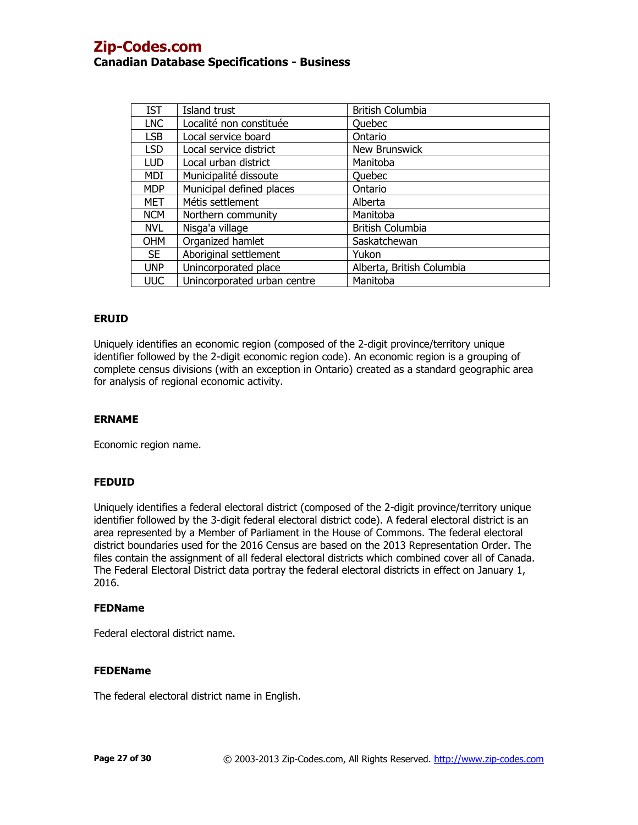| <b>IST</b> | Island trust                | <b>British Columbia</b>   |
|------------|-----------------------------|---------------------------|
| <b>LNC</b> | Localité non constituée     | <b>Ouebec</b>             |
| <b>LSB</b> | Local service board         | Ontario                   |
| <b>LSD</b> | Local service district      | <b>New Brunswick</b>      |
| <b>LUD</b> | Local urban district        | Manitoba                  |
| <b>MDI</b> | Municipalité dissoute       | Quebec                    |
| <b>MDP</b> | Municipal defined places    | Ontario                   |
| MET        | Métis settlement            | Alberta                   |
| <b>NCM</b> | Northern community          | Manitoba                  |
| <b>NVL</b> | Nisga'a village             | <b>British Columbia</b>   |
| <b>OHM</b> | Organized hamlet            | Saskatchewan              |
| <b>SE</b>  | Aboriginal settlement       | Yukon                     |
| <b>UNP</b> | Unincorporated place        | Alberta, British Columbia |
| <b>UUC</b> | Unincorporated urban centre | Manitoba                  |

### **ERUID**

Uniquely identifies an economic region (composed of the 2-digit province/territory unique identifier followed by the 2-digit economic region code). An economic region is a grouping of complete census divisions (with an exception in Ontario) created as a standard geographic area for analysis of regional economic activity.

### **ERNAME**

Economic region name.

## **FEDUID**

Uniquely identifies a federal electoral district (composed of the 2-digit province/territory unique identifier followed by the 3-digit federal electoral district code). A federal electoral district is an area represented by a Member of Parliament in the House of Commons. The federal electoral district boundaries used for the 2016 Census are based on the 2013 Representation Order. The files contain the assignment of all federal electoral districts which combined cover all of Canada. The Federal Electoral District data portray the federal electoral districts in effect on January 1, 2016.

### **FEDName**

Federal electoral district name.

### **FEDEName**

The federal electoral district name in English.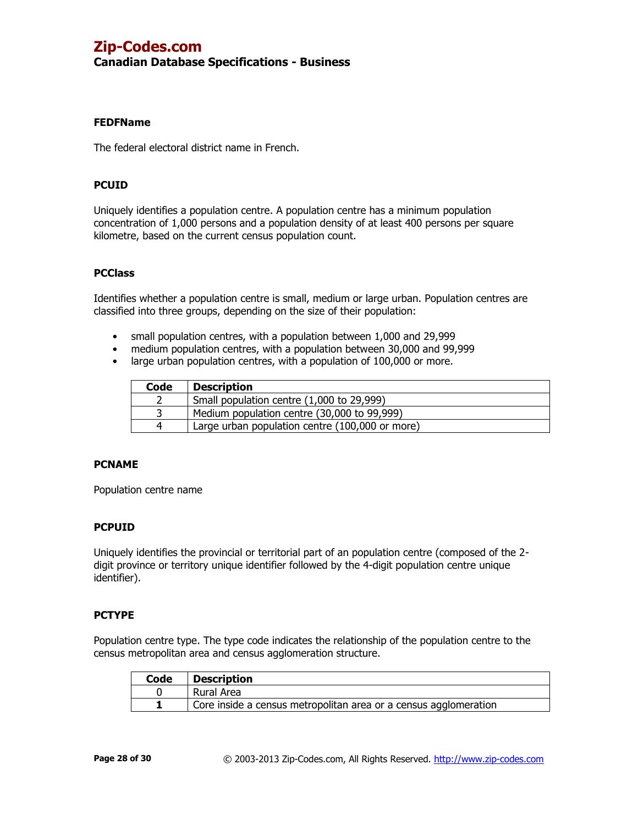# **Canadian Database Specifications - Business**

### **FEDFName**

The federal electoral district name in French.

### **PCUID**

Uniquely identifies a population centre. A population centre has a minimum population concentration of 1,000 persons and a population density of at least 400 persons per square kilometre, based on the current census population count.

### **PCClass**

Identifies whether a population centre is small, medium or large urban. Population centres are classified into three groups, depending on the size of their population:

- small population centres, with a population between 1,000 and 29,999
- medium population centres, with a population between 30,000 and 99,999
- large urban population centres, with a population of 100,000 or more.

| Code     | <b>Description</b>                              |
|----------|-------------------------------------------------|
|          | Small population centre (1,000 to 29,999)       |
|          | Medium population centre (30,000 to 99,999)     |
| $\Delta$ | Large urban population centre (100,000 or more) |

## **PCNAME**

Population centre name

## **PCPUID**

Uniquely identifies the provincial or territorial part of an population centre (composed of the 2 digit province or territory unique identifier followed by the 4-digit population centre unique identifier).

### **PCTYPE**

Population centre type. The type code indicates the relationship of the population centre to the census metropolitan area and census agglomeration structure.

| Code | <b>Description</b>                                               |
|------|------------------------------------------------------------------|
|      | Rural Area                                                       |
|      | Core inside a census metropolitan area or a census agglomeration |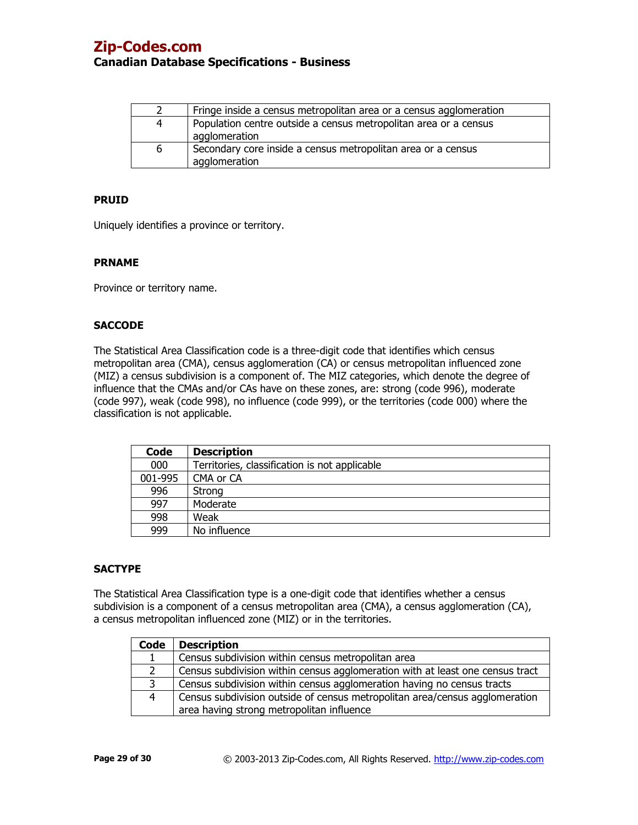| 2 | Fringe inside a census metropolitan area or a census agglomeration                |
|---|-----------------------------------------------------------------------------------|
| 4 | Population centre outside a census metropolitan area or a census<br>agglomeration |
| 6 | Secondary core inside a census metropolitan area or a census<br>agglomeration     |

### **PRUID**

Uniquely identifies a province or territory.

#### **PRNAME**

Province or territory name.

### **SACCODE**

The Statistical Area Classification code is a three-digit code that identifies which census metropolitan area (CMA), census agglomeration (CA) or census metropolitan influenced zone (MIZ) a census subdivision is a component of. The MIZ categories, which denote the degree of influence that the CMAs and/or CAs have on these zones, are: strong (code 996), moderate (code 997), weak (code 998), no influence (code 999), or the territories (code 000) where the classification is not applicable.

| Code    | <b>Description</b>                            |
|---------|-----------------------------------------------|
| 000     | Territories, classification is not applicable |
| 001-995 | CMA or CA                                     |
| 996     | Strong                                        |
| 997     | Moderate                                      |
| 998     | Weak                                          |
| 999     | No influence                                  |

### **SACTYPE**

The Statistical Area Classification type is a one-digit code that identifies whether a census subdivision is a component of a census metropolitan area (CMA), a census agglomeration (CA), a census metropolitan influenced zone (MIZ) or in the territories.

| Code | <b>Description</b>                                                            |
|------|-------------------------------------------------------------------------------|
|      | Census subdivision within census metropolitan area                            |
|      | Census subdivision within census agglomeration with at least one census tract |
|      | Census subdivision within census agglomeration having no census tracts        |
| 4    | Census subdivision outside of census metropolitan area/census agglomeration   |
|      | area having strong metropolitan influence                                     |